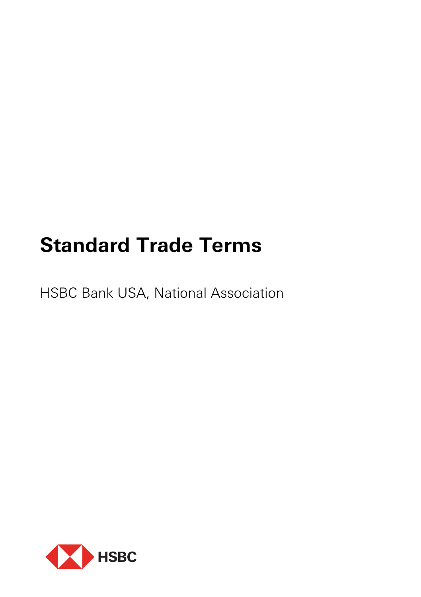# **Standard Trade Terms**

HSBC Bank USA, National Association

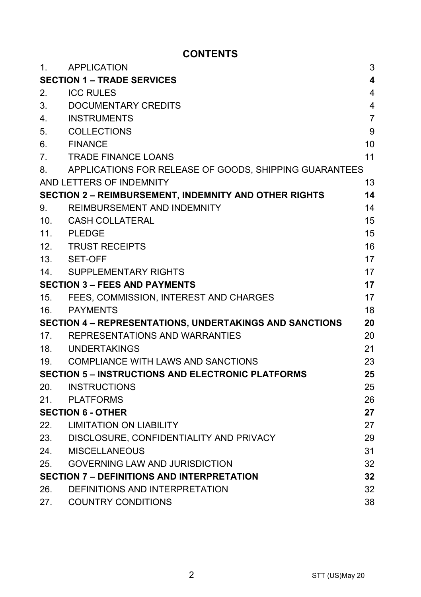# **CONTENTS**

| 1.                                   | <b>APPLICATION</b>                                       | 3                       |
|--------------------------------------|----------------------------------------------------------|-------------------------|
|                                      | <b>SECTION 1 – TRADE SERVICES</b>                        | $\overline{\mathbf{4}}$ |
| 2.                                   | <b>ICC RULES</b>                                         | $\overline{4}$          |
| 3.                                   | DOCUMENTARY CREDITS                                      | 4                       |
| 4.                                   | <b>INSTRUMENTS</b>                                       | $\overline{7}$          |
| 5.                                   | <b>COLLECTIONS</b>                                       | 9                       |
| 6.                                   | <b>FINANCE</b>                                           | 10                      |
| $7_{-}$                              | <b>TRADE FINANCE LOANS</b>                               | 11                      |
| 8.                                   | APPLICATIONS FOR RELEASE OF GOODS, SHIPPING GUARANTEES   |                         |
|                                      | AND LETTERS OF INDEMNITY                                 | 13                      |
|                                      | SECTION 2 - REIMBURSEMENT, INDEMNITY AND OTHER RIGHTS    | 14                      |
| 9.                                   | REIMBURSEMENT AND INDEMNITY                              | 14                      |
| 10 <sub>1</sub>                      | CASH COLLATERAL                                          | 15                      |
| 11.                                  | PLEDGE                                                   | 15                      |
| 12.                                  | <b>TRUST RECEIPTS</b>                                    | 16                      |
| 13.                                  | SET-OFF                                                  | 17                      |
| 14.                                  | SUPPLEMENTARY RIGHTS                                     | 17                      |
| <b>SECTION 3 - FEES AND PAYMENTS</b> |                                                          | 17                      |
| 15.                                  | FEES, COMMISSION, INTEREST AND CHARGES                   | 17                      |
| 16.                                  | PAYMENTS                                                 | 18                      |
|                                      | SECTION 4 - REPRESENTATIONS, UNDERTAKINGS AND SANCTIONS  | 20                      |
|                                      | 17. REPRESENTATIONS AND WARRANTIES                       | 20                      |
|                                      | 18. UNDERTAKINGS                                         | 21                      |
|                                      | 19. COMPLIANCE WITH LAWS AND SANCTIONS                   | 23                      |
|                                      | <b>SECTION 5 - INSTRUCTIONS AND ELECTRONIC PLATFORMS</b> | 25                      |
| 20.                                  | INSTRUCTIONS                                             | 25                      |
| 21.                                  | PLATFORMS                                                | 26                      |
|                                      | <b>SECTION 6 - OTHER</b>                                 | 27                      |
| 22.                                  | LIMITATION ON LIABILITY                                  | 27                      |
|                                      | 23. DISCLOSURE, CONFIDENTIALITY AND PRIVACY              | 29                      |
| 24.                                  | MISCELLANEOUS                                            | 31                      |
| 25.                                  | <b>GOVERNING LAW AND JURISDICTION</b>                    | 32                      |
|                                      | <b>SECTION 7 – DEFINITIONS AND INTERPRETATION</b>        | 32                      |
| 26.                                  | DEFINITIONS AND INTERPRETATION                           | 32                      |
| 27.                                  | <b>COUNTRY CONDITIONS</b>                                | 38                      |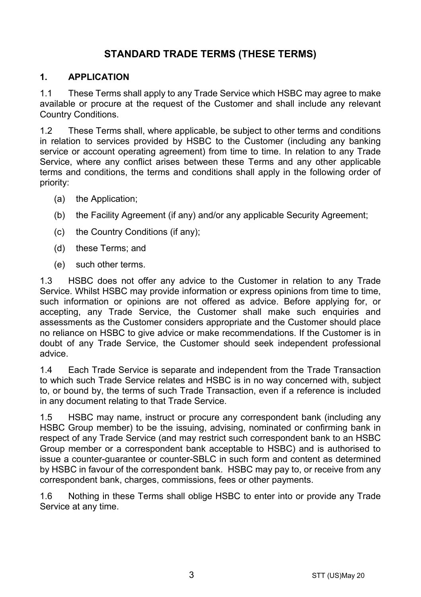# **STANDARD TRADE TERMS (THESE TERMS)**

## **1. APPLICATION**

1.1 These Terms shall apply to any Trade Service which HSBC may agree to make available or procure at the request of the Customer and shall include any relevant Country Conditions.

1.2 These Terms shall, where applicable, be subject to other terms and conditions in relation to services provided by HSBC to the Customer (including any banking service or account operating agreement) from time to time. In relation to any Trade Service, where any conflict arises between these Terms and any other applicable terms and conditions, the terms and conditions shall apply in the following order of priority:

- (a) the Application;
- (b) the Facility Agreement (if any) and/or any applicable Security Agreement;
- (c) the Country Conditions (if any);
- (d) these Terms; and
- (e) such other terms.

1.3 HSBC does not offer any advice to the Customer in relation to any Trade Service. Whilst HSBC may provide information or express opinions from time to time, such information or opinions are not offered as advice. Before applying for, or accepting, any Trade Service, the Customer shall make such enquiries and assessments as the Customer considers appropriate and the Customer should place no reliance on HSBC to give advice or make recommendations. If the Customer is in doubt of any Trade Service, the Customer should seek independent professional advice.

1.4 Each Trade Service is separate and independent from the Trade Transaction to which such Trade Service relates and HSBC is in no way concerned with, subject to, or bound by, the terms of such Trade Transaction, even if a reference is included in any document relating to that Trade Service.

1.5 HSBC may name, instruct or procure any correspondent bank (including any HSBC Group member) to be the issuing, advising, nominated or confirming bank in respect of any Trade Service (and may restrict such correspondent bank to an HSBC Group member or a correspondent bank acceptable to HSBC) and is authorised to issue a counter-guarantee or counter-SBLC in such form and content as determined by HSBC in favour of the correspondent bank. HSBC may pay to, or receive from any correspondent bank, charges, commissions, fees or other payments.

1.6 Nothing in these Terms shall oblige HSBC to enter into or provide any Trade Service at any time.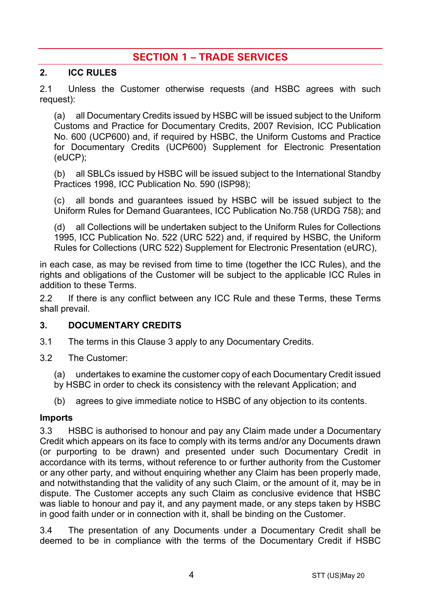# **SECTION 1 – TRADE SERVICES**

#### **2. ICC RULES**

2.1 Unless the Customer otherwise requests (and HSBC agrees with such request):

(a) all Documentary Credits issued by HSBC will be issued subject to the Uniform Customs and Practice for Documentary Credits, 2007 Revision, ICC Publication No. 600 (UCP600) and, if required by HSBC, the Uniform Customs and Practice for Documentary Credits (UCP600) Supplement for Electronic Presentation (eUCP);

(b) all SBLCs issued by HSBC will be issued subject to the International Standby Practices 1998, ICC Publication No. 590 (ISP98);

(c) all bonds and guarantees issued by HSBC will be issued subject to the Uniform Rules for Demand Guarantees, ICC Publication No.758 (URDG 758); and

(d) all Collections will be undertaken subject to the Uniform Rules for Collections 1995, ICC Publication No. 522 (URC 522) and, if required by HSBC, the Uniform Rules for Collections (URC 522) Supplement for Electronic Presentation (eURC),

in each case, as may be revised from time to time (together the ICC Rules), and the rights and obligations of the Customer will be subject to the applicable ICC Rules in addition to these Terms.

2.2 If there is any conflict between any ICC Rule and these Terms, these Terms shall prevail.

## <span id="page-3-0"></span>**3. DOCUMENTARY CREDITS**

- 3.1 The terms in this Claus[e 3](#page-3-0) apply to any Documentary Credits.
- 3.2 The Customer:
	- (a) undertakes to examine the customer copy of each Documentary Credit issued
	- by HSBC in order to check its consistency with the relevant Application; and
	- (b) agrees to give immediate notice to HSBC of any objection to its contents.

#### **Imports**

3.3 HSBC is authorised to honour and pay any Claim made under a Documentary Credit which appears on its face to comply with its terms and/or any Documents drawn (or purporting to be drawn) and presented under such Documentary Credit in accordance with its terms, without reference to or further authority from the Customer or any other party, and without enquiring whether any Claim has been properly made, and notwithstanding that the validity of any such Claim, or the amount of it, may be in dispute. The Customer accepts any such Claim as conclusive evidence that HSBC was liable to honour and pay it, and any payment made, or any steps taken by HSBC in good faith under or in connection with it, shall be binding on the Customer.

3.4 The presentation of any Documents under a Documentary Credit shall be deemed to be in compliance with the terms of the Documentary Credit if HSBC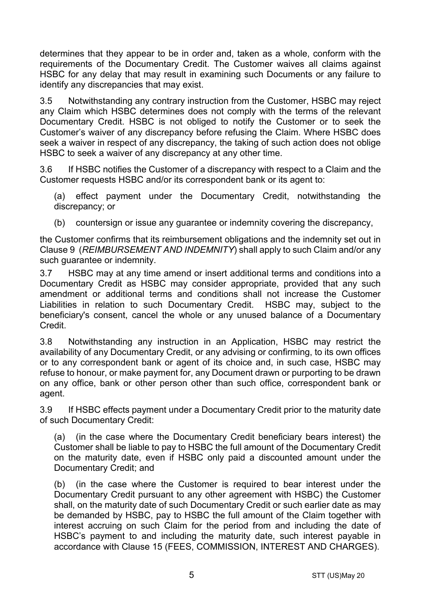determines that they appear to be in order and, taken as a whole, conform with the requirements of the Documentary Credit. The Customer waives all claims against HSBC for any delay that may result in examining such Documents or any failure to identify any discrepancies that may exist.

3.5 Notwithstanding any contrary instruction from the Customer, HSBC may reject any Claim which HSBC determines does not comply with the terms of the relevant Documentary Credit. HSBC is not obliged to notify the Customer or to seek the Customer's waiver of any discrepancy before refusing the Claim. Where HSBC does seek a waiver in respect of any discrepancy, the taking of such action does not oblige HSBC to seek a waiver of any discrepancy at any other time.

3.6 If HSBC notifies the Customer of a discrepancy with respect to a Claim and the Customer requests HSBC and/or its correspondent bank or its agent to:

(a) effect payment under the Documentary Credit, notwithstanding the discrepancy; or

(b) countersign or issue any guarantee or indemnity covering the discrepancy,

the Customer confirms that its reimbursement obligations and the indemnity set out in Claus[e 9](#page-13-0) (*[REIMBURSEMENT AND INDEMNITY](#page-13-0)*) shall apply to such Claim and/or any such guarantee or indemnity.

3.7 HSBC may at any time amend or insert additional terms and conditions into a Documentary Credit as HSBC may consider appropriate, provided that any such amendment or additional terms and conditions shall not increase the Customer Liabilities in relation to such Documentary Credit. HSBC may, subject to the beneficiary's consent, cancel the whole or any unused balance of a Documentary Credit.

3.8 Notwithstanding any instruction in an Application, HSBC may restrict the availability of any Documentary Credit, or any advising or confirming, to its own offices or to any correspondent bank or agent of its choice and, in such case, HSBC may refuse to honour, or make payment for, any Document drawn or purporting to be drawn on any office, bank or other person other than such office, correspondent bank or agent.

3.9 If HSBC effects payment under a Documentary Credit prior to the maturity date of such Documentary Credit:

(a) (in the case where the Documentary Credit beneficiary bears interest) the Customer shall be liable to pay to HSBC the full amount of the Documentary Credit on the maturity date, even if HSBC only paid a discounted amount under the Documentary Credit; and

(b) (in the case where the Customer is required to bear interest under the Documentary Credit pursuant to any other agreement with HSBC) the Customer shall, on the maturity date of such Documentary Credit or such earlier date as may be demanded by HSBC, pay to HSBC the full amount of the Claim together with interest accruing on such Claim for the period from and including the date of HSBC's payment to and including the maturity date, such interest payable in accordance with Clause [15](#page-16-0) [\(FEES, COMMISSION, INTEREST AND CHARGES\)](#page-16-0).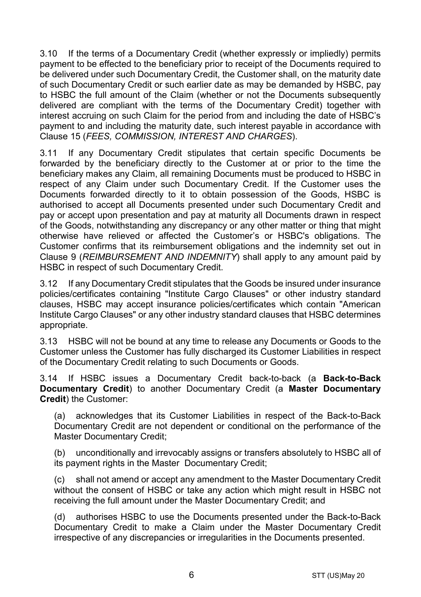3.10 If the terms of a Documentary Credit (whether expressly or impliedly) permits payment to be effected to the beneficiary prior to receipt of the Documents required to be delivered under such Documentary Credit, the Customer shall, on the maturity date of such Documentary Credit or such earlier date as may be demanded by HSBC, pay to HSBC the full amount of the Claim (whether or not the Documents subsequently delivered are compliant with the terms of the Documentary Credit) together with interest accruing on such Claim for the period from and including the date of HSBC's payment to and including the maturity date, such interest payable in accordance with Clause [15](#page-16-0) (*[FEES, COMMISSION, INTEREST AND CHARGES](#page-16-0)*).

3.11 If any Documentary Credit stipulates that certain specific Documents be forwarded by the beneficiary directly to the Customer at or prior to the time the beneficiary makes any Claim, all remaining Documents must be produced to HSBC in respect of any Claim under such Documentary Credit. If the Customer uses the Documents forwarded directly to it to obtain possession of the Goods, HSBC is authorised to accept all Documents presented under such Documentary Credit and pay or accept upon presentation and pay at maturity all Documents drawn in respect of the Goods, notwithstanding any discrepancy or any other matter or thing that might otherwise have relieved or affected the Customer's or HSBC's obligations. The Customer confirms that its reimbursement obligations and the indemnity set out in Clause [9](#page-13-0) (*[REIMBURSEMENT AND INDEMNITY](#page-13-0)*) shall apply to any amount paid by HSBC in respect of such Documentary Credit.

3.12 If any Documentary Credit stipulates that the Goods be insured under insurance policies/certificates containing "Institute Cargo Clauses" or other industry standard clauses, HSBC may accept insurance policies/certificates which contain "American Institute Cargo Clauses" or any other industry standard clauses that HSBC determines appropriate.

3.13 HSBC will not be bound at any time to release any Documents or Goods to the Customer unless the Customer has fully discharged its Customer Liabilities in respect of the Documentary Credit relating to such Documents or Goods.

<span id="page-5-0"></span>3.14 If HSBC issues a Documentary Credit back-to-back (a **Back-to-Back Documentary Credit**) to another Documentary Credit (a **Master Documentary Credit**) the Customer:

(a) acknowledges that its Customer Liabilities in respect of the Back-to-Back Documentary Credit are not dependent or conditional on the performance of the Master Documentary Credit;

(b) unconditionally and irrevocably assigns or transfers absolutely to HSBC all of its payment rights in the Master Documentary Credit;

(c) shall not amend or accept any amendment to the Master Documentary Credit without the consent of HSBC or take any action which might result in HSBC not receiving the full amount under the Master Documentary Credit; and

(d) authorises HSBC to use the Documents presented under the Back-to-Back Documentary Credit to make a Claim under the Master Documentary Credit irrespective of any discrepancies or irregularities in the Documents presented.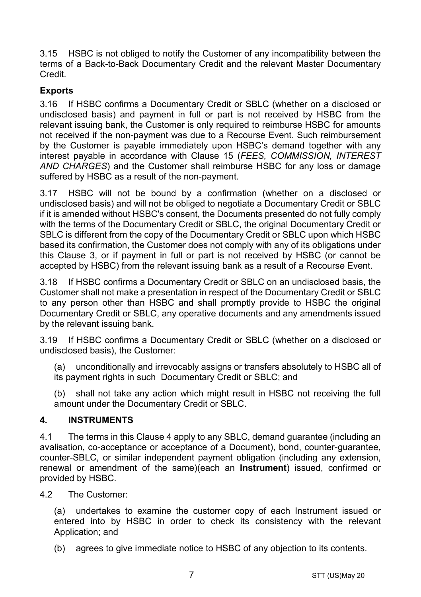3.15 HSBC is not obliged to notify the Customer of any incompatibility between the terms of a Back-to-Back Documentary Credit and the relevant Master Documentary Credit.

# **Exports**

3.16 If HSBC confirms a Documentary Credit or SBLC (whether on a disclosed or undisclosed basis) and payment in full or part is not received by HSBC from the relevant issuing bank, the Customer is only required to reimburse HSBC for amounts not received if the non-payment was due to a Recourse Event. Such reimbursement by the Customer is payable immediately upon HSBC's demand together with any interest payable in accordance with Clause [15](#page-16-0) (*[FEES, COMMISSION, INTEREST](#page-16-0)  [AND CHARGES](#page-16-0)*) and the Customer shall reimburse HSBC for any loss or damage suffered by HSBC as a result of the non-payment.

3.17 HSBC will not be bound by a confirmation (whether on a disclosed or undisclosed basis) and will not be obliged to negotiate a Documentary Credit or SBLC if it is amended without HSBC's consent, the Documents presented do not fully comply with the terms of the Documentary Credit or SBLC, the original Documentary Credit or SBLC is different from the copy of the Documentary Credit or SBLC upon which HSBC based its confirmation, the Customer does not comply with any of its obligations under this Clause [3,](#page-3-0) or if payment in full or part is not received by HSBC (or cannot be accepted by HSBC) from the relevant issuing bank as a result of a Recourse Event.

3.18 If HSBC confirms a Documentary Credit or SBLC on an undisclosed basis, the Customer shall not make a presentation in respect of the Documentary Credit or SBLC to any person other than HSBC and shall promptly provide to HSBC the original Documentary Credit or SBLC, any operative documents and any amendments issued by the relevant issuing bank.

3.19 If HSBC confirms a Documentary Credit or SBLC (whether on a disclosed or undisclosed basis), the Customer:

(a) unconditionally and irrevocably assigns or transfers absolutely to HSBC all of its payment rights in such Documentary Credit or SBLC; and

(b) shall not take any action which might result in HSBC not receiving the full amount under the Documentary Credit or SBLC.

## <span id="page-6-0"></span>**4. INSTRUMENTS**

4.1 The terms in this Clause [4](#page-6-0) apply to any SBLC, demand guarantee (including an avalisation, co-acceptance or acceptance of a Document), bond, counter-guarantee, counter-SBLC, or similar independent payment obligation (including any extension, renewal or amendment of the same)(each an **Instrument**) issued, confirmed or provided by HSBC.

4.2 The Customer:

(a) undertakes to examine the customer copy of each Instrument issued or entered into by HSBC in order to check its consistency with the relevant Application: and

(b) agrees to give immediate notice to HSBC of any objection to its contents.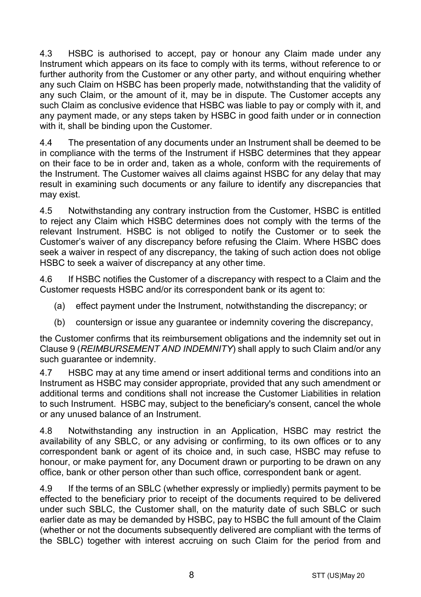4.3 HSBC is authorised to accept, pay or honour any Claim made under any Instrument which appears on its face to comply with its terms, without reference to or further authority from the Customer or any other party, and without enquiring whether any such Claim on HSBC has been properly made, notwithstanding that the validity of any such Claim, or the amount of it, may be in dispute. The Customer accepts any such Claim as conclusive evidence that HSBC was liable to pay or comply with it, and any payment made, or any steps taken by HSBC in good faith under or in connection with it, shall be binding upon the Customer.

4.4 The presentation of any documents under an Instrument shall be deemed to be in compliance with the terms of the Instrument if HSBC determines that they appear on their face to be in order and, taken as a whole, conform with the requirements of the Instrument. The Customer waives all claims against HSBC for any delay that may result in examining such documents or any failure to identify any discrepancies that may exist.

4.5 Notwithstanding any contrary instruction from the Customer, HSBC is entitled to reject any Claim which HSBC determines does not comply with the terms of the relevant Instrument. HSBC is not obliged to notify the Customer or to seek the Customer's waiver of any discrepancy before refusing the Claim. Where HSBC does seek a waiver in respect of any discrepancy, the taking of such action does not oblige HSBC to seek a waiver of discrepancy at any other time.

4.6 If HSBC notifies the Customer of a discrepancy with respect to a Claim and the Customer requests HSBC and/or its correspondent bank or its agent to:

- (a) effect payment under the Instrument, notwithstanding the discrepancy; or
- (b) countersign or issue any guarantee or indemnity covering the discrepancy,

the Customer confirms that its reimbursement obligations and the indemnity set out in Clause [9](#page-13-0) (*[REIMBURSEMENT AND INDEMNITY](#page-13-0)*) shall apply to such Claim and/or any such guarantee or indemnity.

4.7 HSBC may at any time amend or insert additional terms and conditions into an Instrument as HSBC may consider appropriate, provided that any such amendment or additional terms and conditions shall not increase the Customer Liabilities in relation to such Instrument. HSBC may, subject to the beneficiary's consent, cancel the whole or any unused balance of an Instrument.

4.8 Notwithstanding any instruction in an Application, HSBC may restrict the availability of any SBLC, or any advising or confirming, to its own offices or to any correspondent bank or agent of its choice and, in such case, HSBC may refuse to honour, or make payment for, any Document drawn or purporting to be drawn on any office, bank or other person other than such office, correspondent bank or agent.

4.9 If the terms of an SBLC (whether expressly or impliedly) permits payment to be effected to the beneficiary prior to receipt of the documents required to be delivered under such SBLC, the Customer shall, on the maturity date of such SBLC or such earlier date as may be demanded by HSBC, pay to HSBC the full amount of the Claim (whether or not the documents subsequently delivered are compliant with the terms of the SBLC) together with interest accruing on such Claim for the period from and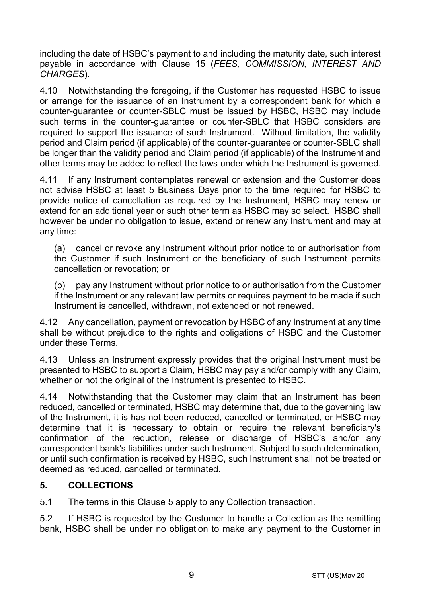including the date of HSBC's payment to and including the maturity date, such interest payable in accordance with Clause [15](#page-16-0) (*[FEES, COMMISSION, INTEREST AND](#page-16-0)  [CHARGES](#page-16-0)*).

4.10 Notwithstanding the foregoing, if the Customer has requested HSBC to issue or arrange for the issuance of an Instrument by a correspondent bank for which a counter-guarantee or counter-SBLC must be issued by HSBC, HSBC may include such terms in the counter-guarantee or counter-SBLC that HSBC considers are required to support the issuance of such Instrument. Without limitation, the validity period and Claim period (if applicable) of the counter-guarantee or counter-SBLC shall be longer than the validity period and Claim period (if applicable) of the Instrument and other terms may be added to reflect the laws under which the Instrument is governed.

4.11 If any Instrument contemplates renewal or extension and the Customer does not advise HSBC at least 5 Business Days prior to the time required for HSBC to provide notice of cancellation as required by the Instrument, HSBC may renew or extend for an additional year or such other term as HSBC may so select. HSBC shall however be under no obligation to issue, extend or renew any Instrument and may at any time:

(a) cancel or revoke any Instrument without prior notice to or authorisation from the Customer if such Instrument or the beneficiary of such Instrument permits cancellation or revocation; or

(b) pay any Instrument without prior notice to or authorisation from the Customer if the Instrument or any relevant law permits or requires payment to be made if such Instrument is cancelled, withdrawn, not extended or not renewed.

4.12 Any cancellation, payment or revocation by HSBC of any Instrument at any time shall be without prejudice to the rights and obligations of HSBC and the Customer under these Terms.

4.13 Unless an Instrument expressly provides that the original Instrument must be presented to HSBC to support a Claim, HSBC may pay and/or comply with any Claim, whether or not the original of the Instrument is presented to HSBC.

4.14 Notwithstanding that the Customer may claim that an Instrument has been reduced, cancelled or terminated, HSBC may determine that, due to the governing law of the Instrument, it is has not been reduced, cancelled or terminated, or HSBC may determine that it is necessary to obtain or require the relevant beneficiary's confirmation of the reduction, release or discharge of HSBC's and/or any correspondent bank's liabilities under such Instrument. Subject to such determination, or until such confirmation is received by HSBC, such Instrument shall not be treated or deemed as reduced, cancelled or terminated.

# <span id="page-8-0"></span>**5. COLLECTIONS**

5.1 The terms in this Claus[e 5](#page-8-0) apply to any Collection transaction.

5.2 If HSBC is requested by the Customer to handle a Collection as the remitting bank, HSBC shall be under no obligation to make any payment to the Customer in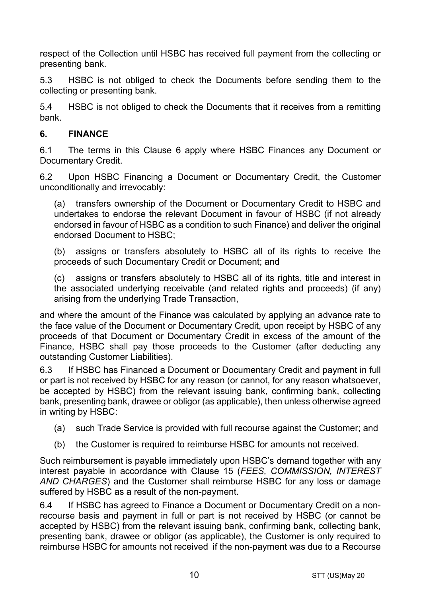respect of the Collection until HSBC has received full payment from the collecting or presenting bank.

5.3 HSBC is not obliged to check the Documents before sending them to the collecting or presenting bank.

5.4 HSBC is not obliged to check the Documents that it receives from a remitting bank.

# <span id="page-9-0"></span>**6. FINANCE**

6.1 The terms in this Clause [6](#page-9-0) apply where HSBC Finances any Document or Documentary Credit.

6.2 Upon HSBC Financing a Document or Documentary Credit, the Customer unconditionally and irrevocably:

(a) transfers ownership of the Document or Documentary Credit to HSBC and undertakes to endorse the relevant Document in favour of HSBC (if not already endorsed in favour of HSBC as a condition to such Finance) and deliver the original endorsed Document to HSBC;

(b) assigns or transfers absolutely to HSBC all of its rights to receive the proceeds of such Documentary Credit or Document; and

(c) assigns or transfers absolutely to HSBC all of its rights, title and interest in the associated underlying receivable (and related rights and proceeds) (if any) arising from the underlying Trade Transaction,

and where the amount of the Finance was calculated by applying an advance rate to the face value of the Document or Documentary Credit, upon receipt by HSBC of any proceeds of that Document or Documentary Credit in excess of the amount of the Finance, HSBC shall pay those proceeds to the Customer (after deducting any outstanding Customer Liabilities).

6.3 If HSBC has Financed a Document or Documentary Credit and payment in full or part is not received by HSBC for any reason (or cannot, for any reason whatsoever, be accepted by HSBC) from the relevant issuing bank, confirming bank, collecting bank, presenting bank, drawee or obligor (as applicable), then unless otherwise agreed in writing by HSBC:

- (a) such Trade Service is provided with full recourse against the Customer; and
- (b) the Customer is required to reimburse HSBC for amounts not received.

Such reimbursement is payable immediately upon HSBC's demand together with any interest payable in accordance with Clause [15](#page-16-0) (*[FEES, COMMISSION, INTEREST](#page-16-0)  [AND CHARGES](#page-16-0)*) and the Customer shall reimburse HSBC for any loss or damage suffered by HSBC as a result of the non-payment.

6.4 If HSBC has agreed to Finance a Document or Documentary Credit on a nonrecourse basis and payment in full or part is not received by HSBC (or cannot be accepted by HSBC) from the relevant issuing bank, confirming bank, collecting bank, presenting bank, drawee or obligor (as applicable), the Customer is only required to reimburse HSBC for amounts not received if the non-payment was due to a Recourse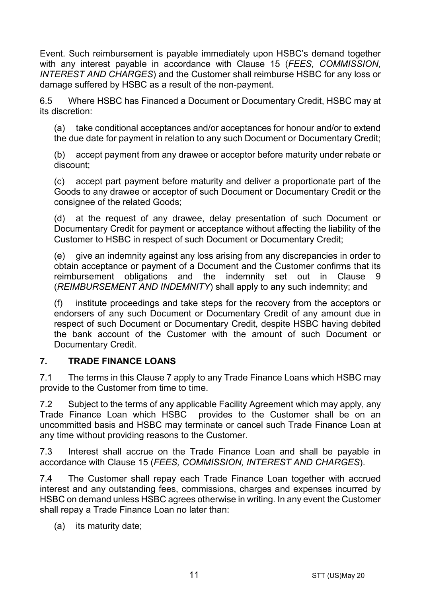Event. Such reimbursement is payable immediately upon HSBC's demand together with any interest payable in accordance with Clause [15](#page-16-0) (*[FEES, COMMISSION,](#page-16-0)  [INTEREST AND CHARGES](#page-16-0)*) and the Customer shall reimburse HSBC for any loss or damage suffered by HSBC as a result of the non-payment.

6.5 Where HSBC has Financed a Document or Documentary Credit, HSBC may at its discretion:

(a) take conditional acceptances and/or acceptances for honour and/or to extend the due date for payment in relation to any such Document or Documentary Credit;

(b) accept payment from any drawee or acceptor before maturity under rebate or discount;

(c) accept part payment before maturity and deliver a proportionate part of the Goods to any drawee or acceptor of such Document or Documentary Credit or the consignee of the related Goods;

(d) at the request of any drawee, delay presentation of such Document or Documentary Credit for payment or acceptance without affecting the liability of the Customer to HSBC in respect of such Document or Documentary Credit;

(e) give an indemnity against any loss arising from any discrepancies in order to obtain acceptance or payment of a Document and the Customer confirms that its reimbursement obligations and the indemnity set out in Clause [9](#page-13-0) (*[REIMBURSEMENT AND INDEMNITY](#page-13-0)*) shall apply to any such indemnity; and

(f) institute proceedings and take steps for the recovery from the acceptors or endorsers of any such Document or Documentary Credit of any amount due in respect of such Document or Documentary Credit, despite HSBC having debited the bank account of the Customer with the amount of such Document or Documentary Credit.

## <span id="page-10-0"></span>**7. TRADE FINANCE LOANS**

7.1 The terms in this Clause [7](#page-10-0) apply to any Trade Finance Loans which HSBC may provide to the Customer from time to time.

7.2 Subject to the terms of any applicable Facility Agreement which may apply, any Trade Finance Loan which HSBC provides to the Customer shall be on an uncommitted basis and HSBC may terminate or cancel such Trade Finance Loan at any time without providing reasons to the Customer.

7.3 Interest shall accrue on the Trade Finance Loan and shall be payable in accordance with Clause [15](#page-16-0) (*[FEES, COMMISSION, INTEREST AND CHARGES](#page-16-0)*).

7.4 The Customer shall repay each Trade Finance Loan together with accrued interest and any outstanding fees, commissions, charges and expenses incurred by HSBC on demand unless HSBC agrees otherwise in writing. In any event the Customer shall repay a Trade Finance Loan no later than:

(a) its maturity date;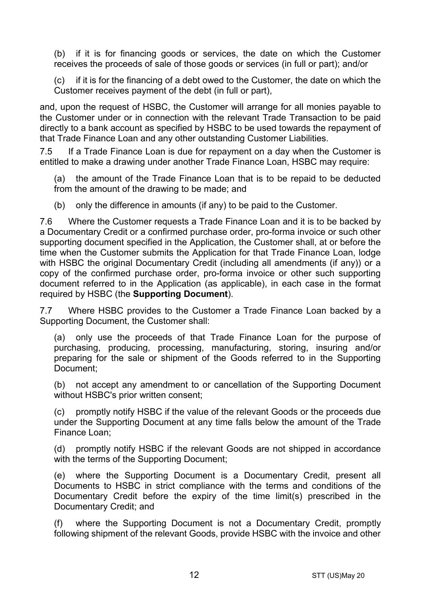(b) if it is for financing goods or services, the date on which the Customer receives the proceeds of sale of those goods or services (in full or part); and/or

(c) if it is for the financing of a debt owed to the Customer, the date on which the Customer receives payment of the debt (in full or part),

and, upon the request of HSBC, the Customer will arrange for all monies payable to the Customer under or in connection with the relevant Trade Transaction to be paid directly to a bank account as specified by HSBC to be used towards the repayment of that Trade Finance Loan and any other outstanding Customer Liabilities.

7.5 If a Trade Finance Loan is due for repayment on a day when the Customer is entitled to make a drawing under another Trade Finance Loan, HSBC may require:

(a) the amount of the Trade Finance Loan that is to be repaid to be deducted from the amount of the drawing to be made; and

(b) only the difference in amounts (if any) to be paid to the Customer.

7.6 Where the Customer requests a Trade Finance Loan and it is to be backed by a Documentary Credit or a confirmed purchase order, pro-forma invoice or such other supporting document specified in the Application, the Customer shall, at or before the time when the Customer submits the Application for that Trade Finance Loan, lodge with HSBC the original Documentary Credit (including all amendments (if any)) or a copy of the confirmed purchase order, pro-forma invoice or other such supporting document referred to in the Application (as applicable), in each case in the format required by HSBC (the **Supporting Document**).

7.7 Where HSBC provides to the Customer a Trade Finance Loan backed by a Supporting Document, the Customer shall:

(a) only use the proceeds of that Trade Finance Loan for the purpose of purchasing, producing, processing, manufacturing, storing, insuring and/or preparing for the sale or shipment of the Goods referred to in the Supporting Document;

(b) not accept any amendment to or cancellation of the Supporting Document without HSBC's prior written consent;

(c) promptly notify HSBC if the value of the relevant Goods or the proceeds due under the Supporting Document at any time falls below the amount of the Trade Finance Loan;

(d) promptly notify HSBC if the relevant Goods are not shipped in accordance with the terms of the Supporting Document;

(e) where the Supporting Document is a Documentary Credit, present all Documents to HSBC in strict compliance with the terms and conditions of the Documentary Credit before the expiry of the time limit(s) prescribed in the Documentary Credit; and

(f) where the Supporting Document is not a Documentary Credit, promptly following shipment of the relevant Goods, provide HSBC with the invoice and other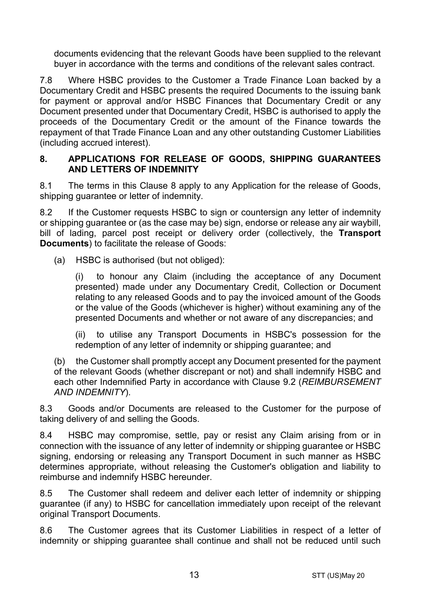documents evidencing that the relevant Goods have been supplied to the relevant buyer in accordance with the terms and conditions of the relevant sales contract.

7.8 Where HSBC provides to the Customer a Trade Finance Loan backed by a Documentary Credit and HSBC presents the required Documents to the issuing bank for payment or approval and/or HSBC Finances that Documentary Credit or any Document presented under that Documentary Credit, HSBC is authorised to apply the proceeds of the Documentary Credit or the amount of the Finance towards the repayment of that Trade Finance Loan and any other outstanding Customer Liabilities (including accrued interest).

#### <span id="page-12-0"></span>**8. APPLICATIONS FOR RELEASE OF GOODS, SHIPPING GUARANTEES AND LETTERS OF INDEMNITY**

8.1 The terms in this Clause [8](#page-12-0) apply to any Application for the release of Goods, shipping quarantee or letter of indemnity.

8.2 If the Customer requests HSBC to sign or countersign any letter of indemnity or shipping guarantee or (as the case may be) sign, endorse or release any air waybill, bill of lading, parcel post receipt or delivery order (collectively, the **Transport Documents**) to facilitate the release of Goods:

(a) HSBC is authorised (but not obliged):

(i) to honour any Claim (including the acceptance of any Document presented) made under any Documentary Credit, Collection or Document relating to any released Goods and to pay the invoiced amount of the Goods or the value of the Goods (whichever is higher) without examining any of the presented Documents and whether or not aware of any discrepancies; and

(ii) to utilise any Transport Documents in HSBC's possession for the redemption of any letter of indemnity or shipping guarantee; and

(b) the Customer shall promptly accept any Document presented for the payment of the relevant Goods (whether discrepant or not) and shall indemnify HSBC and each other Indemnified Party in accordance with Clause [9.2](#page-13-1) (*[REIMBURSEMENT](#page-13-0)  [AND INDEMNITY](#page-13-0)*).

8.3 Goods and/or Documents are released to the Customer for the purpose of taking delivery of and selling the Goods.

8.4 HSBC may compromise, settle, pay or resist any Claim arising from or in connection with the issuance of any letter of indemnity or shipping guarantee or HSBC signing, endorsing or releasing any Transport Document in such manner as HSBC determines appropriate, without releasing the Customer's obligation and liability to reimburse and indemnify HSBC hereunder.

8.5 The Customer shall redeem and deliver each letter of indemnity or shipping guarantee (if any) to HSBC for cancellation immediately upon receipt of the relevant original Transport Documents.

8.6 The Customer agrees that its Customer Liabilities in respect of a letter of indemnity or shipping guarantee shall continue and shall not be reduced until such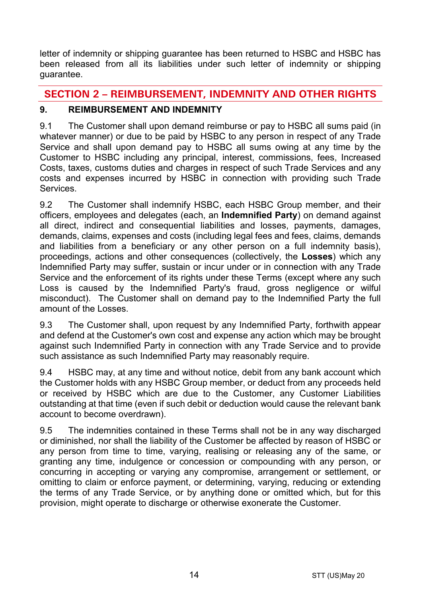letter of indemnity or shipping guarantee has been returned to HSBC and HSBC has been released from all its liabilities under such letter of indemnity or shipping guarantee.

# **SECTION 2 – REIMBURSEMENT, INDEMNITY AND OTHER RIGHTS**

# <span id="page-13-0"></span>**9. REIMBURSEMENT AND INDEMNITY**

9.1 The Customer shall upon demand reimburse or pay to HSBC all sums paid (in whatever manner) or due to be paid by HSBC to any person in respect of any Trade Service and shall upon demand pay to HSBC all sums owing at any time by the Customer to HSBC including any principal, interest, commissions, fees, Increased Costs, taxes, customs duties and charges in respect of such Trade Services and any costs and expenses incurred by HSBC in connection with providing such Trade **Services** 

<span id="page-13-1"></span>9.2 The Customer shall indemnify HSBC, each HSBC Group member, and their officers, employees and delegates (each, an **Indemnified Party**) on demand against all direct, indirect and consequential liabilities and losses, payments, damages, demands, claims, expenses and costs (including legal fees and fees, claims, demands and liabilities from a beneficiary or any other person on a full indemnity basis), proceedings, actions and other consequences (collectively, the **Losses**) which any Indemnified Party may suffer, sustain or incur under or in connection with any Trade Service and the enforcement of its rights under these Terms (except where any such Loss is caused by the Indemnified Party's fraud, gross negligence or wilful misconduct). The Customer shall on demand pay to the Indemnified Party the full amount of the Losses.

9.3 The Customer shall, upon request by any Indemnified Party, forthwith appear and defend at the Customer's own cost and expense any action which may be brought against such Indemnified Party in connection with any Trade Service and to provide such assistance as such Indemnified Party may reasonably require.

9.4 HSBC may, at any time and without notice, debit from any bank account which the Customer holds with any HSBC Group member, or deduct from any proceeds held or received by HSBC which are due to the Customer, any Customer Liabilities outstanding at that time (even if such debit or deduction would cause the relevant bank account to become overdrawn).

9.5 The indemnities contained in these Terms shall not be in any way discharged or diminished, nor shall the liability of the Customer be affected by reason of HSBC or any person from time to time, varying, realising or releasing any of the same, or granting any time, indulgence or concession or compounding with any person, or concurring in accepting or varying any compromise, arrangement or settlement, or omitting to claim or enforce payment, or determining, varying, reducing or extending the terms of any Trade Service, or by anything done or omitted which, but for this provision, might operate to discharge or otherwise exonerate the Customer.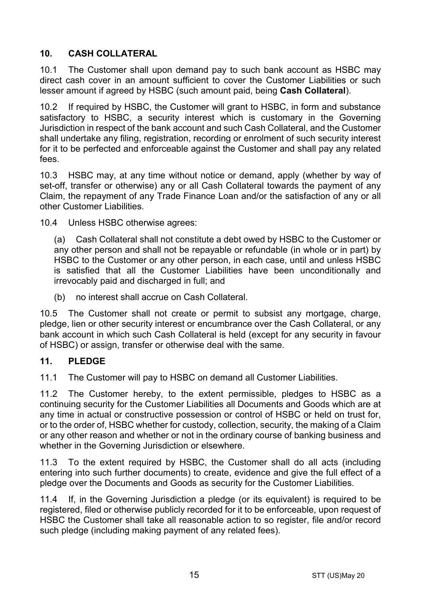# <span id="page-14-1"></span>**10. CASH COLLATERAL**

10.1 The Customer shall upon demand pay to such bank account as HSBC may direct cash cover in an amount sufficient to cover the Customer Liabilities or such lesser amount if agreed by HSBC (such amount paid, being **Cash Collateral**).

10.2 If required by HSBC, the Customer will grant to HSBC, in form and substance satisfactory to HSBC, a security interest which is customary in the Governing Jurisdiction in respect of the bank account and such Cash Collateral, and the Customer shall undertake any filing, registration, recording or enrolment of such security interest for it to be perfected and enforceable against the Customer and shall pay any related fees.

10.3 HSBC may, at any time without notice or demand, apply (whether by way of set-off, transfer or otherwise) any or all Cash Collateral towards the payment of any Claim, the repayment of any Trade Finance Loan and/or the satisfaction of any or all other Customer Liabilities.

10.4 Unless HSBC otherwise agrees:

(a) Cash Collateral shall not constitute a debt owed by HSBC to the Customer or any other person and shall not be repayable or refundable (in whole or in part) by HSBC to the Customer or any other person, in each case, until and unless HSBC is satisfied that all the Customer Liabilities have been unconditionally and irrevocably paid and discharged in full; and

(b) no interest shall accrue on Cash Collateral.

10.5 The Customer shall not create or permit to subsist any mortgage, charge, pledge, lien or other security interest or encumbrance over the Cash Collateral, or any bank account in which such Cash Collateral is held (except for any security in favour of HSBC) or assign, transfer or otherwise deal with the same.

## <span id="page-14-0"></span>**11. PLEDGE**

11.1 The Customer will pay to HSBC on demand all Customer Liabilities.

11.2 The Customer hereby, to the extent permissible, pledges to HSBC as a continuing security for the Customer Liabilities all Documents and Goods which are at any time in actual or constructive possession or control of HSBC or held on trust for, or to the order of, HSBC whether for custody, collection, security, the making of a Claim or any other reason and whether or not in the ordinary course of banking business and whether in the Governing Jurisdiction or elsewhere.

11.3 To the extent required by HSBC, the Customer shall do all acts (including entering into such further documents) to create, evidence and give the full effect of a pledge over the Documents and Goods as security for the Customer Liabilities.

11.4 If, in the Governing Jurisdiction a pledge (or its equivalent) is required to be registered, filed or otherwise publicly recorded for it to be enforceable, upon request of HSBC the Customer shall take all reasonable action to so register, file and/or record such pledge (including making payment of any related fees).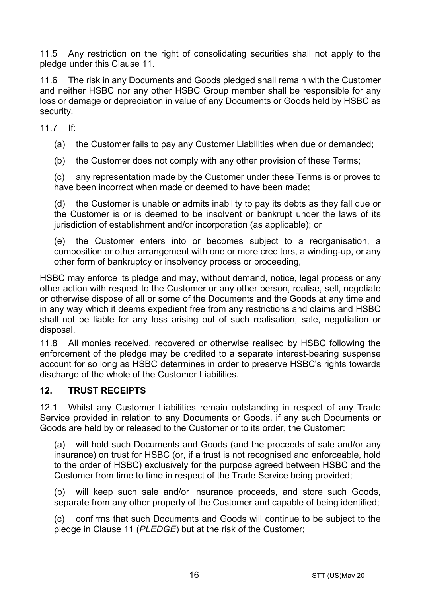11.5 Any restriction on the right of consolidating securities shall not apply to the pledge under this Clause [11.](#page-14-0)

11.6 The risk in any Documents and Goods pledged shall remain with the Customer and neither HSBC nor any other HSBC Group member shall be responsible for any loss or damage or depreciation in value of any Documents or Goods held by HSBC as security.

11.7 If:

(a) the Customer fails to pay any Customer Liabilities when due or demanded;

(b) the Customer does not comply with any other provision of these Terms;

(c) any representation made by the Customer under these Terms is or proves to have been incorrect when made or deemed to have been made;

(d) the Customer is unable or admits inability to pay its debts as they fall due or the Customer is or is deemed to be insolvent or bankrupt under the laws of its jurisdiction of establishment and/or incorporation (as applicable); or

(e) the Customer enters into or becomes subject to a reorganisation, a composition or other arrangement with one or more creditors, a winding-up, or any other form of bankruptcy or insolvency process or proceeding,

HSBC may enforce its pledge and may, without demand, notice, legal process or any other action with respect to the Customer or any other person, realise, sell, negotiate or otherwise dispose of all or some of the Documents and the Goods at any time and in any way which it deems expedient free from any restrictions and claims and HSBC shall not be liable for any loss arising out of such realisation, sale, negotiation or disposal.

11.8 All monies received, recovered or otherwise realised by HSBC following the enforcement of the pledge may be credited to a separate interest-bearing suspense account for so long as HSBC determines in order to preserve HSBC's rights towards discharge of the whole of the Customer Liabilities.

## **12. TRUST RECEIPTS**

12.1 Whilst any Customer Liabilities remain outstanding in respect of any Trade Service provided in relation to any Documents or Goods, if any such Documents or Goods are held by or released to the Customer or to its order, the Customer:

(a) will hold such Documents and Goods (and the proceeds of sale and/or any insurance) on trust for HSBC (or, if a trust is not recognised and enforceable, hold to the order of HSBC) exclusively for the purpose agreed between HSBC and the Customer from time to time in respect of the Trade Service being provided;

(b) will keep such sale and/or insurance proceeds, and store such Goods, separate from any other property of the Customer and capable of being identified;

(c) confirms that such Documents and Goods will continue to be subject to the pledge in Claus[e 11](#page-14-0) (*[PLEDGE](#page-14-0)*) but at the risk of the Customer;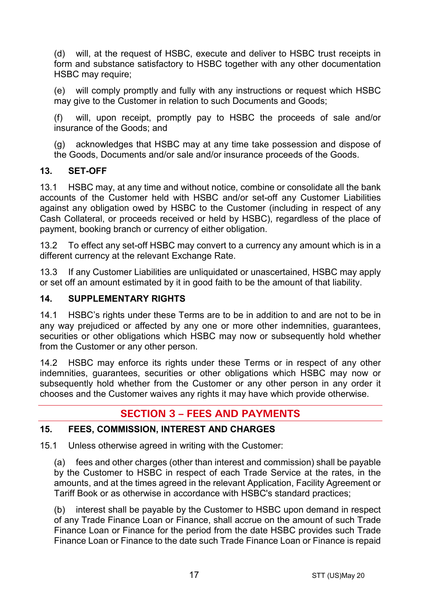(d) will, at the request of HSBC, execute and deliver to HSBC trust receipts in form and substance satisfactory to HSBC together with any other documentation HSBC may require:

(e) will comply promptly and fully with any instructions or request which HSBC may give to the Customer in relation to such Documents and Goods;

(f) will, upon receipt, promptly pay to HSBC the proceeds of sale and/or insurance of the Goods; and

(g) acknowledges that HSBC may at any time take possession and dispose of the Goods, Documents and/or sale and/or insurance proceeds of the Goods.

# **13. SET-OFF**

13.1 HSBC may, at any time and without notice, combine or consolidate all the bank accounts of the Customer held with HSBC and/or set-off any Customer Liabilities against any obligation owed by HSBC to the Customer (including in respect of any Cash Collateral, or proceeds received or held by HSBC), regardless of the place of payment, booking branch or currency of either obligation.

13.2 To effect any set-off HSBC may convert to a currency any amount which is in a different currency at the relevant Exchange Rate.

13.3 If any Customer Liabilities are unliquidated or unascertained, HSBC may apply or set off an amount estimated by it in good faith to be the amount of that liability.

# **14. SUPPLEMENTARY RIGHTS**

14.1 HSBC's rights under these Terms are to be in addition to and are not to be in any way prejudiced or affected by any one or more other indemnities, guarantees, securities or other obligations which HSBC may now or subsequently hold whether from the Customer or any other person.

14.2 HSBC may enforce its rights under these Terms or in respect of any other indemnities, guarantees, securities or other obligations which HSBC may now or subsequently hold whether from the Customer or any other person in any order it chooses and the Customer waives any rights it may have which provide otherwise.

# **SECTION 3 – FEES AND PAYMENTS**

## <span id="page-16-0"></span>**15. FEES, COMMISSION, INTEREST AND CHARGES**

15.1 Unless otherwise agreed in writing with the Customer:

(a) fees and other charges (other than interest and commission) shall be payable by the Customer to HSBC in respect of each Trade Service at the rates, in the amounts, and at the times agreed in the relevant Application, Facility Agreement or Tariff Book or as otherwise in accordance with HSBC's standard practices;

(b) interest shall be payable by the Customer to HSBC upon demand in respect of any Trade Finance Loan or Finance, shall accrue on the amount of such Trade Finance Loan or Finance for the period from the date HSBC provides such Trade Finance Loan or Finance to the date such Trade Finance Loan or Finance is repaid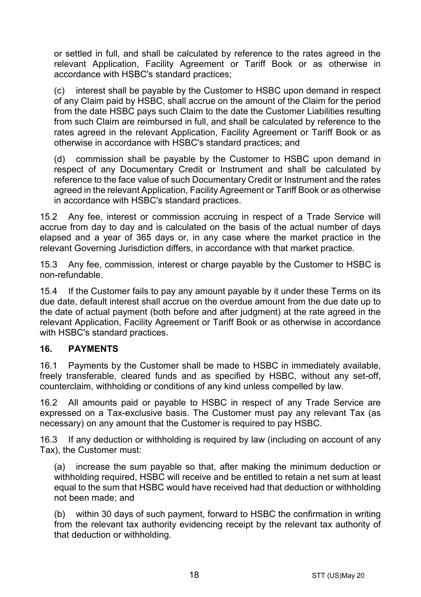or settled in full, and shall be calculated by reference to the rates agreed in the relevant Application, Facility Agreement or Tariff Book or as otherwise in accordance with HSBC's standard practices;

(c) interest shall be payable by the Customer to HSBC upon demand in respect of any Claim paid by HSBC, shall accrue on the amount of the Claim for the period from the date HSBC pays such Claim to the date the Customer Liabilities resulting from such Claim are reimbursed in full, and shall be calculated by reference to the rates agreed in the relevant Application, Facility Agreement or Tariff Book or as otherwise in accordance with HSBC's standard practices; and

(d) commission shall be payable by the Customer to HSBC upon demand in respect of any Documentary Credit or Instrument and shall be calculated by reference to the face value of such Documentary Credit or Instrument and the rates agreed in the relevant Application, Facility Agreement or Tariff Book or as otherwise in accordance with HSBC's standard practices.

15.2 Any fee, interest or commission accruing in respect of a Trade Service will accrue from day to day and is calculated on the basis of the actual number of days elapsed and a year of 365 days or, in any case where the market practice in the relevant Governing Jurisdiction differs, in accordance with that market practice.

15.3 Any fee, commission, interest or charge payable by the Customer to HSBC is non-refundable.

15.4 If the Customer fails to pay any amount payable by it under these Terms on its due date, default interest shall accrue on the overdue amount from the due date up to the date of actual payment (both before and after judgment) at the rate agreed in the relevant Application, Facility Agreement or Tariff Book or as otherwise in accordance with HSBC's standard practices.

## **16. PAYMENTS**

16.1 Payments by the Customer shall be made to HSBC in immediately available, freely transferable, cleared funds and as specified by HSBC, without any set-off, counterclaim, withholding or conditions of any kind unless compelled by law.

16.2 All amounts paid or payable to HSBC in respect of any Trade Service are expressed on a Tax-exclusive basis. The Customer must pay any relevant Tax (as necessary) on any amount that the Customer is required to pay HSBC.

16.3 If any deduction or withholding is required by law (including on account of any Tax), the Customer must:

(a) increase the sum payable so that, after making the minimum deduction or withholding required, HSBC will receive and be entitled to retain a net sum at least equal to the sum that HSBC would have received had that deduction or withholding not been made; and

(b) within 30 days of such payment, forward to HSBC the confirmation in writing from the relevant tax authority evidencing receipt by the relevant tax authority of that deduction or withholding.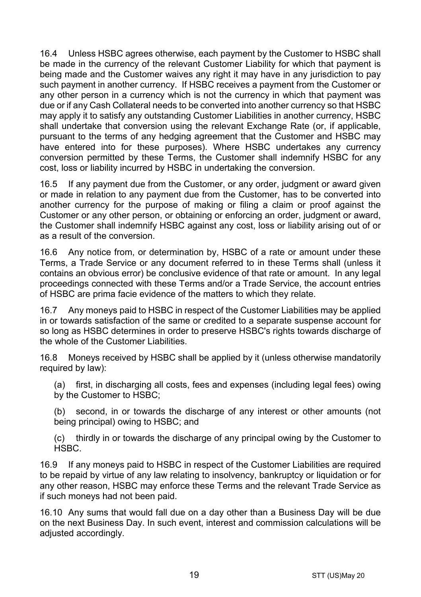16.4 Unless HSBC agrees otherwise, each payment by the Customer to HSBC shall be made in the currency of the relevant Customer Liability for which that payment is being made and the Customer waives any right it may have in any jurisdiction to pay such payment in another currency. If HSBC receives a payment from the Customer or any other person in a currency which is not the currency in which that payment was due or if any Cash Collateral needs to be converted into another currency so that HSBC may apply it to satisfy any outstanding Customer Liabilities in another currency, HSBC shall undertake that conversion using the relevant Exchange Rate (or, if applicable, pursuant to the terms of any hedging agreement that the Customer and HSBC may have entered into for these purposes). Where HSBC undertakes any currency conversion permitted by these Terms, the Customer shall indemnify HSBC for any cost, loss or liability incurred by HSBC in undertaking the conversion.

16.5 If any payment due from the Customer, or any order, judgment or award given or made in relation to any payment due from the Customer, has to be converted into another currency for the purpose of making or filing a claim or proof against the Customer or any other person, or obtaining or enforcing an order, judgment or award, the Customer shall indemnify HSBC against any cost, loss or liability arising out of or as a result of the conversion.

16.6 Any notice from, or determination by, HSBC of a rate or amount under these Terms, a Trade Service or any document referred to in these Terms shall (unless it contains an obvious error) be conclusive evidence of that rate or amount. In any legal proceedings connected with these Terms and/or a Trade Service, the account entries of HSBC are prima facie evidence of the matters to which they relate.

16.7 Any moneys paid to HSBC in respect of the Customer Liabilities may be applied in or towards satisfaction of the same or credited to a separate suspense account for so long as HSBC determines in order to preserve HSBC's rights towards discharge of the whole of the Customer Liabilities.

16.8 Moneys received by HSBC shall be applied by it (unless otherwise mandatorily required by law):

(a) first, in discharging all costs, fees and expenses (including legal fees) owing by the Customer to HSBC;

(b) second, in or towards the discharge of any interest or other amounts (not being principal) owing to HSBC; and

(c) thirdly in or towards the discharge of any principal owing by the Customer to HSBC.

16.9 If any moneys paid to HSBC in respect of the Customer Liabilities are required to be repaid by virtue of any law relating to insolvency, bankruptcy or liquidation or for any other reason, HSBC may enforce these Terms and the relevant Trade Service as if such moneys had not been paid.

16.10 Any sums that would fall due on a day other than a Business Day will be due on the next Business Day. In such event, interest and commission calculations will be adiusted accordingly.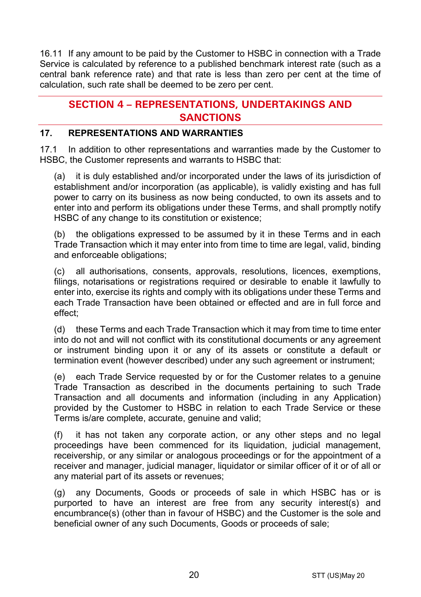16.11 If any amount to be paid by the Customer to HSBC in connection with a Trade Service is calculated by reference to a published benchmark interest rate (such as a central bank reference rate) and that rate is less than zero per cent at the time of calculation, such rate shall be deemed to be zero per cent.

# **SECTION 4 – REPRESENTATIONS, UNDERTAKINGS AND SANCTIONS**

# **17. REPRESENTATIONS AND WARRANTIES**

17.1 In addition to other representations and warranties made by the Customer to HSBC, the Customer represents and warrants to HSBC that:

(a) it is duly established and/or incorporated under the laws of its jurisdiction of establishment and/or incorporation (as applicable), is validly existing and has full power to carry on its business as now being conducted, to own its assets and to enter into and perform its obligations under these Terms, and shall promptly notify HSBC of any change to its constitution or existence;

(b) the obligations expressed to be assumed by it in these Terms and in each Trade Transaction which it may enter into from time to time are legal, valid, binding and enforceable obligations;

(c) all authorisations, consents, approvals, resolutions, licences, exemptions, filings, notarisations or registrations required or desirable to enable it lawfully to enter into, exercise its rights and comply with its obligations under these Terms and each Trade Transaction have been obtained or effected and are in full force and effect;

(d) these Terms and each Trade Transaction which it may from time to time enter into do not and will not conflict with its constitutional documents or any agreement or instrument binding upon it or any of its assets or constitute a default or termination event (however described) under any such agreement or instrument;

(e) each Trade Service requested by or for the Customer relates to a genuine Trade Transaction as described in the documents pertaining to such Trade Transaction and all documents and information (including in any Application) provided by the Customer to HSBC in relation to each Trade Service or these Terms is/are complete, accurate, genuine and valid;

(f) it has not taken any corporate action, or any other steps and no legal proceedings have been commenced for its liquidation, judicial management, receivership, or any similar or analogous proceedings or for the appointment of a receiver and manager, judicial manager, liquidator or similar officer of it or of all or any material part of its assets or revenues;

(g) any Documents, Goods or proceeds of sale in which HSBC has or is purported to have an interest are free from any security interest(s) and encumbrance(s) (other than in favour of HSBC) and the Customer is the sole and beneficial owner of any such Documents, Goods or proceeds of sale;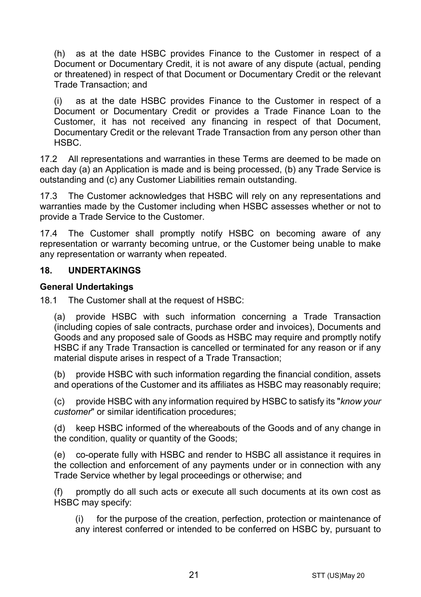(h) as at the date HSBC provides Finance to the Customer in respect of a Document or Documentary Credit, it is not aware of any dispute (actual, pending or threatened) in respect of that Document or Documentary Credit or the relevant Trade Transaction; and

(i) as at the date HSBC provides Finance to the Customer in respect of a Document or Documentary Credit or provides a Trade Finance Loan to the Customer, it has not received any financing in respect of that Document, Documentary Credit or the relevant Trade Transaction from any person other than HSBC.

17.2 All representations and warranties in these Terms are deemed to be made on each day (a) an Application is made and is being processed, (b) any Trade Service is outstanding and (c) any Customer Liabilities remain outstanding.

17.3 The Customer acknowledges that HSBC will rely on any representations and warranties made by the Customer including when HSBC assesses whether or not to provide a Trade Service to the Customer.

17.4 The Customer shall promptly notify HSBC on becoming aware of any representation or warranty becoming untrue, or the Customer being unable to make any representation or warranty when repeated.

#### **18. UNDERTAKINGS**

#### **General Undertakings**

18.1 The Customer shall at the request of HSBC:

(a) provide HSBC with such information concerning a Trade Transaction (including copies of sale contracts, purchase order and invoices), Documents and Goods and any proposed sale of Goods as HSBC may require and promptly notify HSBC if any Trade Transaction is cancelled or terminated for any reason or if any material dispute arises in respect of a Trade Transaction;

(b) provide HSBC with such information regarding the financial condition, assets and operations of the Customer and its affiliates as HSBC may reasonably require;

(c) provide HSBC with any information required by HSBC to satisfy its "*know your customer*" or similar identification procedures;

(d) keep HSBC informed of the whereabouts of the Goods and of any change in the condition, quality or quantity of the Goods;

(e) co-operate fully with HSBC and render to HSBC all assistance it requires in the collection and enforcement of any payments under or in connection with any Trade Service whether by legal proceedings or otherwise; and

(f) promptly do all such acts or execute all such documents at its own cost as HSBC may specify:

(i) for the purpose of the creation, perfection, protection or maintenance of any interest conferred or intended to be conferred on HSBC by, pursuant to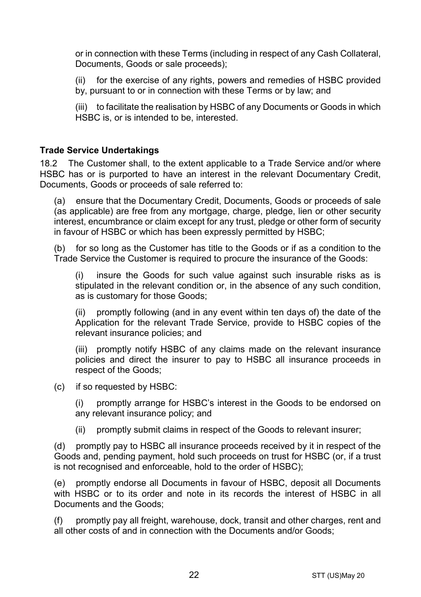or in connection with these Terms (including in respect of any Cash Collateral, Documents, Goods or sale proceeds);

(ii) for the exercise of any rights, powers and remedies of HSBC provided by, pursuant to or in connection with these Terms or by law; and

(iii) to facilitate the realisation by HSBC of any Documents or Goods in which HSBC is, or is intended to be, interested.

#### **Trade Service Undertakings**

18.2 The Customer shall, to the extent applicable to a Trade Service and/or where HSBC has or is purported to have an interest in the relevant Documentary Credit, Documents, Goods or proceeds of sale referred to:

(a) ensure that the Documentary Credit, Documents, Goods or proceeds of sale (as applicable) are free from any mortgage, charge, pledge, lien or other security interest, encumbrance or claim except for any trust, pledge or other form of security in favour of HSBC or which has been expressly permitted by HSBC;

(b) for so long as the Customer has title to the Goods or if as a condition to the Trade Service the Customer is required to procure the insurance of the Goods:

(i) insure the Goods for such value against such insurable risks as is stipulated in the relevant condition or, in the absence of any such condition, as is customary for those Goods;

(ii) promptly following (and in any event within ten days of) the date of the Application for the relevant Trade Service, provide to HSBC copies of the relevant insurance policies; and

(iii) promptly notify HSBC of any claims made on the relevant insurance policies and direct the insurer to pay to HSBC all insurance proceeds in respect of the Goods;

(c) if so requested by HSBC:

(i) promptly arrange for HSBC's interest in the Goods to be endorsed on any relevant insurance policy; and

(ii) promptly submit claims in respect of the Goods to relevant insurer;

(d) promptly pay to HSBC all insurance proceeds received by it in respect of the Goods and, pending payment, hold such proceeds on trust for HSBC (or, if a trust is not recognised and enforceable, hold to the order of HSBC);

(e) promptly endorse all Documents in favour of HSBC, deposit all Documents with HSBC or to its order and note in its records the interest of HSBC in all Documents and the Goods;

(f) promptly pay all freight, warehouse, dock, transit and other charges, rent and all other costs of and in connection with the Documents and/or Goods;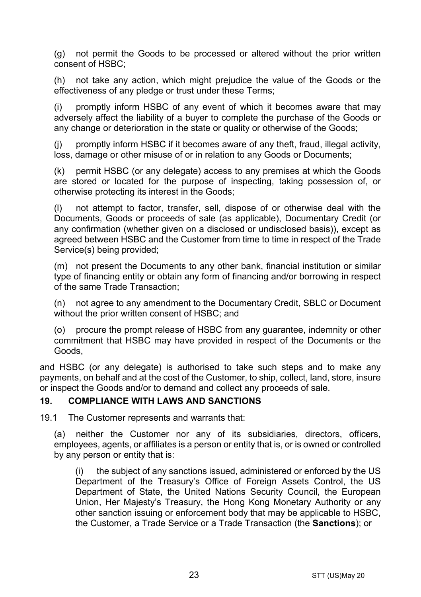(g) not permit the Goods to be processed or altered without the prior written consent of HSBC;

(h) not take any action, which might prejudice the value of the Goods or the effectiveness of any pledge or trust under these Terms;

(i) promptly inform HSBC of any event of which it becomes aware that may adversely affect the liability of a buyer to complete the purchase of the Goods or any change or deterioration in the state or quality or otherwise of the Goods;

(j) promptly inform HSBC if it becomes aware of any theft, fraud, illegal activity, loss, damage or other misuse of or in relation to any Goods or Documents;

(k) permit HSBC (or any delegate) access to any premises at which the Goods are stored or located for the purpose of inspecting, taking possession of, or otherwise protecting its interest in the Goods;

(l) not attempt to factor, transfer, sell, dispose of or otherwise deal with the Documents, Goods or proceeds of sale (as applicable), Documentary Credit (or any confirmation (whether given on a disclosed or undisclosed basis)), except as agreed between HSBC and the Customer from time to time in respect of the Trade Service(s) being provided;

(m) not present the Documents to any other bank, financial institution or similar type of financing entity or obtain any form of financing and/or borrowing in respect of the same Trade Transaction;

(n) not agree to any amendment to the Documentary Credit, SBLC or Document without the prior written consent of HSBC; and

(o) procure the prompt release of HSBC from any guarantee, indemnity or other commitment that HSBC may have provided in respect of the Documents or the Goods,

and HSBC (or any delegate) is authorised to take such steps and to make any payments, on behalf and at the cost of the Customer, to ship, collect, land, store, insure or inspect the Goods and/or to demand and collect any proceeds of sale.

#### <span id="page-22-0"></span>**19. COMPLIANCE WITH LAWS AND SANCTIONS**

19.1 The Customer represents and warrants that:

(a) neither the Customer nor any of its subsidiaries, directors, officers, employees, agents, or affiliates is a person or entity that is, or is owned or controlled by any person or entity that is:

(i) the subject of any sanctions issued, administered or enforced by the US Department of the Treasury's Office of Foreign Assets Control, the US Department of State, the United Nations Security Council, the European Union, Her Majesty's Treasury, the Hong Kong Monetary Authority or any other sanction issuing or enforcement body that may be applicable to HSBC, the Customer, a Trade Service or a Trade Transaction (the **Sanctions**); or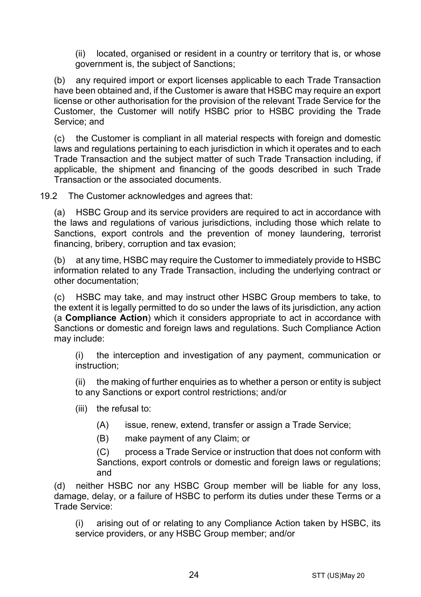(ii) located, organised or resident in a country or territory that is, or whose government is, the subject of Sanctions;

(b) any required import or export licenses applicable to each Trade Transaction have been obtained and, if the Customer is aware that HSBC may require an export license or other authorisation for the provision of the relevant Trade Service for the Customer, the Customer will notify HSBC prior to HSBC providing the Trade Service; and

(c) the Customer is compliant in all material respects with foreign and domestic laws and regulations pertaining to each jurisdiction in which it operates and to each Trade Transaction and the subject matter of such Trade Transaction including, if applicable, the shipment and financing of the goods described in such Trade Transaction or the associated documents.

19.2 The Customer acknowledges and agrees that:

(a) HSBC Group and its service providers are required to act in accordance with the laws and regulations of various jurisdictions, including those which relate to Sanctions, export controls and the prevention of money laundering, terrorist financing, bribery, corruption and tax evasion;

(b) at any time, HSBC may require the Customer to immediately provide to HSBC information related to any Trade Transaction, including the underlying contract or other documentation;

(c) HSBC may take, and may instruct other HSBC Group members to take, to the extent it is legally permitted to do so under the laws of its jurisdiction, any action (a **Compliance Action**) which it considers appropriate to act in accordance with Sanctions or domestic and foreign laws and regulations. Such Compliance Action may include:

(i) the interception and investigation of any payment, communication or instruction;

(ii) the making of further enquiries as to whether a person or entity is subject to any Sanctions or export control restrictions; and/or

- (iii) the refusal to:
	- (A) issue, renew, extend, transfer or assign a Trade Service;
	- (B) make payment of any Claim; or

(C) process a Trade Service or instruction that does not conform with Sanctions, export controls or domestic and foreign laws or regulations; and

(d) neither HSBC nor any HSBC Group member will be liable for any loss, damage, delay, or a failure of HSBC to perform its duties under these Terms or a Trade Service:

(i) arising out of or relating to any Compliance Action taken by HSBC, its service providers, or any HSBC Group member; and/or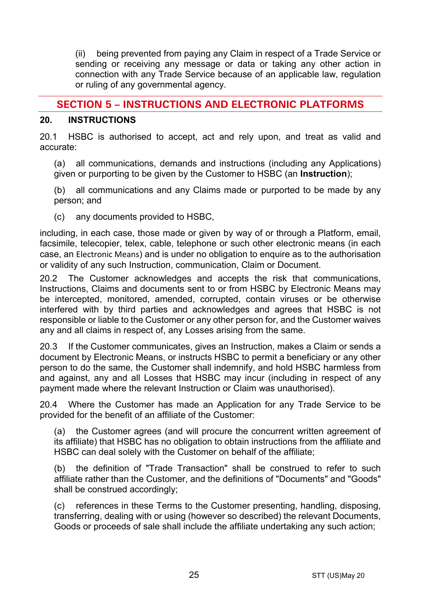(ii) being prevented from paying any Claim in respect of a Trade Service or sending or receiving any message or data or taking any other action in connection with any Trade Service because of an applicable law, regulation or ruling of any governmental agency.

# **SECTION 5 – INSTRUCTIONS AND ELECTRONIC PLATFORMS**

#### <span id="page-24-0"></span>**20. INSTRUCTIONS**

20.1 HSBC is authorised to accept, act and rely upon, and treat as valid and accurate:

(a) all communications, demands and instructions (including any Applications) given or purporting to be given by the Customer to HSBC (an **Instruction**);

(b) all communications and any Claims made or purported to be made by any person; and

(c) any documents provided to HSBC,

including, in each case, those made or given by way of or through a Platform, email, facsimile, telecopier, telex, cable, telephone or such other electronic means (in each case, an Electronic Means) and is under no obligation to enquire as to the authorisation or validity of any such Instruction, communication, Claim or Document.

20.2 The Customer acknowledges and accepts the risk that communications, Instructions, Claims and documents sent to or from HSBC by Electronic Means may be intercepted, monitored, amended, corrupted, contain viruses or be otherwise interfered with by third parties and acknowledges and agrees that HSBC is not responsible or liable to the Customer or any other person for, and the Customer waives any and all claims in respect of, any Losses arising from the same.

20.3 If the Customer communicates, gives an Instruction, makes a Claim or sends a document by Electronic Means, or instructs HSBC to permit a beneficiary or any other person to do the same, the Customer shall indemnify, and hold HSBC harmless from and against, any and all Losses that HSBC may incur (including in respect of any payment made where the relevant Instruction or Claim was unauthorised).

20.4 Where the Customer has made an Application for any Trade Service to be provided for the benefit of an affiliate of the Customer:

(a) the Customer agrees (and will procure the concurrent written agreement of its affiliate) that HSBC has no obligation to obtain instructions from the affiliate and HSBC can deal solely with the Customer on behalf of the affiliate;

(b) the definition of "Trade Transaction" shall be construed to refer to such affiliate rather than the Customer, and the definitions of "Documents" and "Goods" shall be construed accordingly;

(c) references in these Terms to the Customer presenting, handling, disposing, transferring, dealing with or using (however so described) the relevant Documents, Goods or proceeds of sale shall include the affiliate undertaking any such action;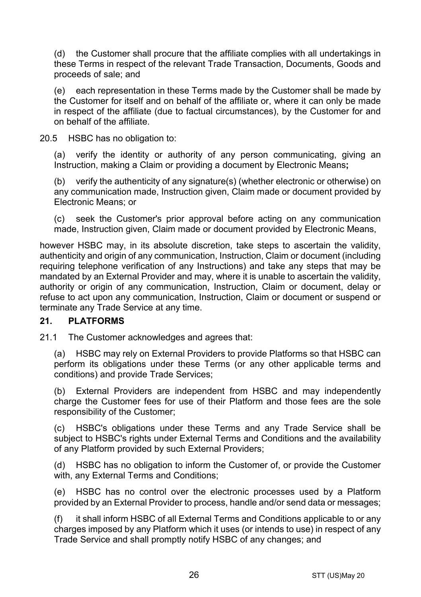(d) the Customer shall procure that the affiliate complies with all undertakings in these Terms in respect of the relevant Trade Transaction, Documents, Goods and proceeds of sale; and

(e) each representation in these Terms made by the Customer shall be made by the Customer for itself and on behalf of the affiliate or, where it can only be made in respect of the affiliate (due to factual circumstances), by the Customer for and on behalf of the affiliate.

20.5 HSBC has no obligation to:

(a) verify the identity or authority of any person communicating, giving an Instruction, making a Claim or providing a document by Electronic Means**;**

(b) verify the authenticity of any signature(s) (whether electronic or otherwise) on any communication made, Instruction given, Claim made or document provided by Electronic Means; or

(c) seek the Customer's prior approval before acting on any communication made, Instruction given, Claim made or document provided by Electronic Means,

however HSBC may, in its absolute discretion, take steps to ascertain the validity, authenticity and origin of any communication, Instruction, Claim or document (including requiring telephone verification of any Instructions) and take any steps that may be mandated by an External Provider and may, where it is unable to ascertain the validity, authority or origin of any communication, Instruction, Claim or document, delay or refuse to act upon any communication, Instruction, Claim or document or suspend or terminate any Trade Service at any time.

## **21. PLATFORMS**

21.1 The Customer acknowledges and agrees that:

(a) HSBC may rely on External Providers to provide Platforms so that HSBC can perform its obligations under these Terms (or any other applicable terms and conditions) and provide Trade Services;

(b) External Providers are independent from HSBC and may independently charge the Customer fees for use of their Platform and those fees are the sole responsibility of the Customer;

(c) HSBC's obligations under these Terms and any Trade Service shall be subject to HSBC's rights under External Terms and Conditions and the availability of any Platform provided by such External Providers;

(d) HSBC has no obligation to inform the Customer of, or provide the Customer with, any External Terms and Conditions;

(e) HSBC has no control over the electronic processes used by a Platform provided by an External Provider to process, handle and/or send data or messages;

(f) it shall inform HSBC of all External Terms and Conditions applicable to or any charges imposed by any Platform which it uses (or intends to use) in respect of any Trade Service and shall promptly notify HSBC of any changes; and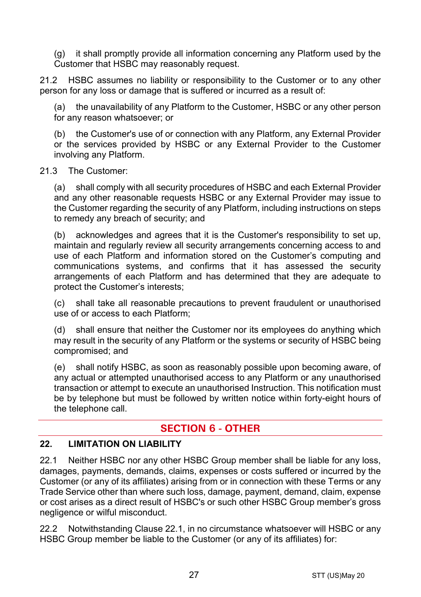(g) it shall promptly provide all information concerning any Platform used by the Customer that HSBC may reasonably request.

21.2 HSBC assumes no liability or responsibility to the Customer or to any other person for any loss or damage that is suffered or incurred as a result of:

(a) the unavailability of any Platform to the Customer, HSBC or any other person for any reason whatsoever; or

(b) the Customer's use of or connection with any Platform, any External Provider or the services provided by HSBC or any External Provider to the Customer involving any Platform.

#### 21.3 The Customer:

(a) shall comply with all security procedures of HSBC and each External Provider and any other reasonable requests HSBC or any External Provider may issue to the Customer regarding the security of any Platform, including instructions on steps to remedy any breach of security; and

(b) acknowledges and agrees that it is the Customer's responsibility to set up, maintain and regularly review all security arrangements concerning access to and use of each Platform and information stored on the Customer's computing and communications systems, and confirms that it has assessed the security arrangements of each Platform and has determined that they are adequate to protect the Customer's interests;

(c) shall take all reasonable precautions to prevent fraudulent or unauthorised use of or access to each Platform;

(d) shall ensure that neither the Customer nor its employees do anything which may result in the security of any Platform or the systems or security of HSBC being compromised; and

(e) shall notify HSBC, as soon as reasonably possible upon becoming aware, of any actual or attempted unauthorised access to any Platform or any unauthorised transaction or attempt to execute an unauthorised Instruction. This notification must be by telephone but must be followed by written notice within forty-eight hours of the telephone call.

# **SECTION 6 - OTHER**

# **22. LIMITATION ON LIABILITY**

<span id="page-26-0"></span>22.1 Neither HSBC nor any other HSBC Group member shall be liable for any loss, damages, payments, demands, claims, expenses or costs suffered or incurred by the Customer (or any of its affiliates) arising from or in connection with these Terms or any Trade Service other than where such loss, damage, payment, demand, claim, expense or cost arises as a direct result of HSBC's or such other HSBC Group member's gross negligence or wilful misconduct.

<span id="page-26-1"></span>22.2 Notwithstanding Clause [22.1,](#page-26-0) in no circumstance whatsoever will HSBC or any HSBC Group member be liable to the Customer (or any of its affiliates) for: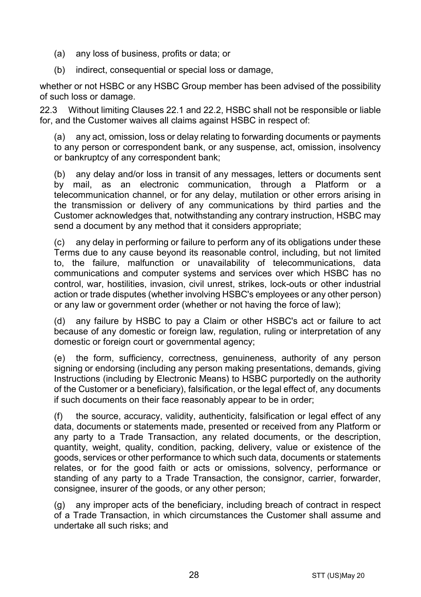- (a) any loss of business, profits or data; or
- (b) indirect, consequential or special loss or damage,

whether or not HSBC or any HSBC Group member has been advised of the possibility of such loss or damage.

22.3 Without limiting Clauses [22.1](#page-26-0) and [22.2,](#page-26-1) HSBC shall not be responsible or liable for, and the Customer waives all claims against HSBC in respect of:

(a) any act, omission, loss or delay relating to forwarding documents or payments to any person or correspondent bank, or any suspense, act, omission, insolvency or bankruptcy of any correspondent bank;

(b) any delay and/or loss in transit of any messages, letters or documents sent by mail, as an electronic communication, through a Platform or a telecommunication channel, or for any delay, mutilation or other errors arising in the transmission or delivery of any communications by third parties and the Customer acknowledges that, notwithstanding any contrary instruction, HSBC may send a document by any method that it considers appropriate;

(c) any delay in performing or failure to perform any of its obligations under these Terms due to any cause beyond its reasonable control, including, but not limited to, the failure, malfunction or unavailability of telecommunications, data communications and computer systems and services over which HSBC has no control, war, hostilities, invasion, civil unrest, strikes, lock-outs or other industrial action or trade disputes (whether involving HSBC's employees or any other person) or any law or government order (whether or not having the force of law);

(d) any failure by HSBC to pay a Claim or other HSBC's act or failure to act because of any domestic or foreign law, regulation, ruling or interpretation of any domestic or foreign court or governmental agency;

(e) the form, sufficiency, correctness, genuineness, authority of any person signing or endorsing (including any person making presentations, demands, giving Instructions (including by Electronic Means) to HSBC purportedly on the authority of the Customer or a beneficiary), falsification, or the legal effect of, any documents if such documents on their face reasonably appear to be in order;

(f) the source, accuracy, validity, authenticity, falsification or legal effect of any data, documents or statements made, presented or received from any Platform or any party to a Trade Transaction, any related documents, or the description, quantity, weight, quality, condition, packing, delivery, value or existence of the goods, services or other performance to which such data, documents or statements relates, or for the good faith or acts or omissions, solvency, performance or standing of any party to a Trade Transaction, the consignor, carrier, forwarder, consignee, insurer of the goods, or any other person;

(g) any improper acts of the beneficiary, including breach of contract in respect of a Trade Transaction, in which circumstances the Customer shall assume and undertake all such risks; and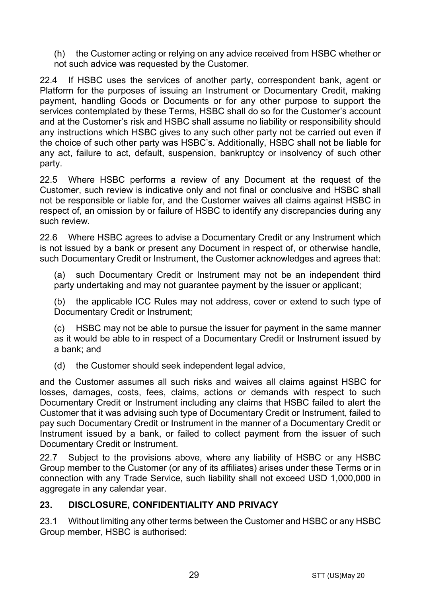(h) the Customer acting or relying on any advice received from HSBC whether or not such advice was requested by the Customer.

22.4 If HSBC uses the services of another party, correspondent bank, agent or Platform for the purposes of issuing an Instrument or Documentary Credit, making payment, handling Goods or Documents or for any other purpose to support the services contemplated by these Terms, HSBC shall do so for the Customer's account and at the Customer's risk and HSBC shall assume no liability or responsibility should any instructions which HSBC gives to any such other party not be carried out even if the choice of such other party was HSBC's. Additionally, HSBC shall not be liable for any act, failure to act, default, suspension, bankruptcy or insolvency of such other party.

22.5 Where HSBC performs a review of any Document at the request of the Customer, such review is indicative only and not final or conclusive and HSBC shall not be responsible or liable for, and the Customer waives all claims against HSBC in respect of, an omission by or failure of HSBC to identify any discrepancies during any such review.

22.6 Where HSBC agrees to advise a Documentary Credit or any Instrument which is not issued by a bank or present any Document in respect of, or otherwise handle, such Documentary Credit or Instrument, the Customer acknowledges and agrees that:

(a) such Documentary Credit or Instrument may not be an independent third party undertaking and may not quarantee payment by the issuer or applicant;

(b) the applicable ICC Rules may not address, cover or extend to such type of Documentary Credit or Instrument;

(c) HSBC may not be able to pursue the issuer for payment in the same manner as it would be able to in respect of a Documentary Credit or Instrument issued by a bank; and

(d) the Customer should seek independent legal advice,

and the Customer assumes all such risks and waives all claims against HSBC for losses, damages, costs, fees, claims, actions or demands with respect to such Documentary Credit or Instrument including any claims that HSBC failed to alert the Customer that it was advising such type of Documentary Credit or Instrument, failed to pay such Documentary Credit or Instrument in the manner of a Documentary Credit or Instrument issued by a bank, or failed to collect payment from the issuer of such Documentary Credit or Instrument.

22.7 Subject to the provisions above, where any liability of HSBC or any HSBC Group member to the Customer (or any of its affiliates) arises under these Terms or in connection with any Trade Service, such liability shall not exceed USD 1,000,000 in aggregate in any calendar year.

## <span id="page-28-0"></span>**23. DISCLOSURE, CONFIDENTIALITY AND PRIVACY**

23.1 Without limiting any other terms between the Customer and HSBC or any HSBC Group member, HSBC is authorised: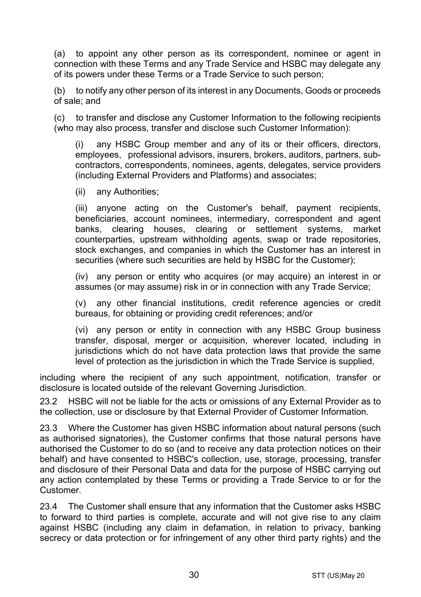<span id="page-29-0"></span>(a) to appoint any other person as its correspondent, nominee or agent in connection with these Terms and any Trade Service and HSBC may delegate any of its powers under these Terms or a Trade Service to such person;

(b) to notify any other person of its interest in any Documents, Goods or proceeds of sale; and

(c) to transfer and disclose any Customer Information to the following recipients (who may also process, transfer and disclose such Customer Information):

(i) any HSBC Group member and any of its or their officers, directors, employees, professional advisors, insurers, brokers, auditors, partners, subcontractors, correspondents, nominees, agents, delegates, service providers (including External Providers and Platforms) and associates;

(ii) any Authorities;

(iii) anyone acting on the Customer's behalf, payment recipients, beneficiaries, account nominees, intermediary, correspondent and agent banks, clearing houses, clearing or settlement systems, market counterparties, upstream withholding agents, swap or trade repositories, stock exchanges, and companies in which the Customer has an interest in securities (where such securities are held by HSBC for the Customer);

(iv) any person or entity who acquires (or may acquire) an interest in or assumes (or may assume) risk in or in connection with any Trade Service;

(v) any other financial institutions, credit reference agencies or credit bureaus, for obtaining or providing credit references; and/or

(vi) any person or entity in connection with any HSBC Group business transfer, disposal, merger or acquisition, wherever located, including in jurisdictions which do not have data protection laws that provide the same level of protection as the jurisdiction in which the Trade Service is supplied,

including where the recipient of any such appointment, notification, transfer or disclosure is located outside of the relevant Governing Jurisdiction.

23.2 HSBC will not be liable for the acts or omissions of any External Provider as to the collection, use or disclosure by that External Provider of Customer Information.

23.3 Where the Customer has given HSBC information about natural persons (such as authorised signatories), the Customer confirms that those natural persons have authorised the Customer to do so (and to receive any data protection notices on their behalf) and have consented to HSBC's collection, use, storage, processing, transfer and disclosure of their Personal Data and data for the purpose of HSBC carrying out any action contemplated by these Terms or providing a Trade Service to or for the Customer.

23.4 The Customer shall ensure that any information that the Customer asks HSBC to forward to third parties is complete, accurate and will not give rise to any claim against HSBC (including any claim in defamation, in relation to privacy, banking secrecy or data protection or for infringement of any other third party rights) and the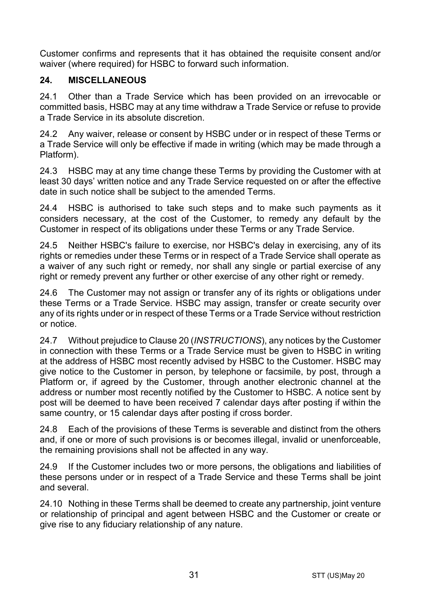Customer confirms and represents that it has obtained the requisite consent and/or waiver (where required) for HSBC to forward such information.

# **24. MISCELLANEOUS**

24.1 Other than a Trade Service which has been provided on an irrevocable or committed basis, HSBC may at any time withdraw a Trade Service or refuse to provide a Trade Service in its absolute discretion.

24.2 Any waiver, release or consent by HSBC under or in respect of these Terms or a Trade Service will only be effective if made in writing (which may be made through a Platform).

24.3 HSBC may at any time change these Terms by providing the Customer with at least 30 days' written notice and any Trade Service requested on or after the effective date in such notice shall be subject to the amended Terms.

24.4 HSBC is authorised to take such steps and to make such payments as it considers necessary, at the cost of the Customer, to remedy any default by the Customer in respect of its obligations under these Terms or any Trade Service.

24.5 Neither HSBC's failure to exercise, nor HSBC's delay in exercising, any of its rights or remedies under these Terms or in respect of a Trade Service shall operate as a waiver of any such right or remedy, nor shall any single or partial exercise of any right or remedy prevent any further or other exercise of any other right or remedy.

24.6 The Customer may not assign or transfer any of its rights or obligations under these Terms or a Trade Service. HSBC may assign, transfer or create security over any of its rights under or in respect of these Terms or a Trade Service without restriction or notice.

24.7 Without prejudice to Claus[e 20](#page-24-0) (*[INSTRUCTIONS](#page-24-0)*), any notices by the Customer in connection with these Terms or a Trade Service must be given to HSBC in writing at the address of HSBC most recently advised by HSBC to the Customer. HSBC may give notice to the Customer in person, by telephone or facsimile, by post, through a Platform or, if agreed by the Customer, through another electronic channel at the address or number most recently notified by the Customer to HSBC. A notice sent by post will be deemed to have been received 7 calendar days after posting if within the same country, or 15 calendar days after posting if cross border.

24.8 Each of the provisions of these Terms is severable and distinct from the others and, if one or more of such provisions is or becomes illegal, invalid or unenforceable, the remaining provisions shall not be affected in any way.

24.9 If the Customer includes two or more persons, the obligations and liabilities of these persons under or in respect of a Trade Service and these Terms shall be joint and several.

24.10 Nothing in these Terms shall be deemed to create any partnership, joint venture or relationship of principal and agent between HSBC and the Customer or create or give rise to any fiduciary relationship of any nature.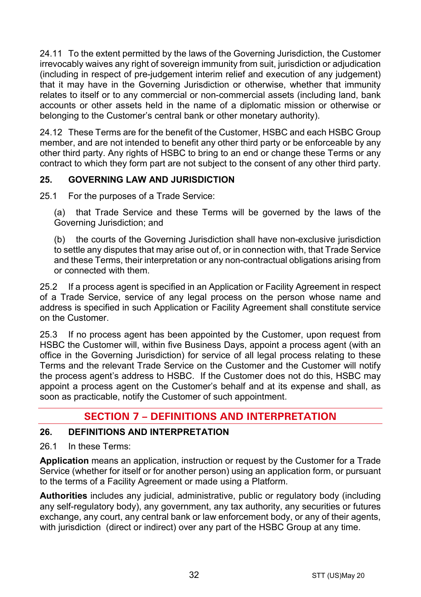24.11 To the extent permitted by the laws of the Governing Jurisdiction, the Customer irrevocably waives any right of sovereign immunity from suit, jurisdiction or adjudication (including in respect of pre-judgement interim relief and execution of any judgement) that it may have in the Governing Jurisdiction or otherwise, whether that immunity relates to itself or to any commercial or non-commercial assets (including land, bank accounts or other assets held in the name of a diplomatic mission or otherwise or belonging to the Customer's central bank or other monetary authority).

24.12 These Terms are for the benefit of the Customer, HSBC and each HSBC Group member, and are not intended to benefit any other third party or be enforceable by any other third party. Any rights of HSBC to bring to an end or change these Terms or any contract to which they form part are not subject to the consent of any other third party.

# **25. GOVERNING LAW AND JURISDICTION**

25.1 For the purposes of a Trade Service:

(a) that Trade Service and these Terms will be governed by the laws of the Governing Jurisdiction; and

(b) the courts of the Governing Jurisdiction shall have non-exclusive jurisdiction to settle any disputes that may arise out of, or in connection with, that Trade Service and these Terms, their interpretation or any non-contractual obligations arising from or connected with them.

25.2 If a process agent is specified in an Application or Facility Agreement in respect of a Trade Service, service of any legal process on the person whose name and address is specified in such Application or Facility Agreement shall constitute service on the Customer.

25.3 If no process agent has been appointed by the Customer, upon request from HSBC the Customer will, within five Business Days, appoint a process agent (with an office in the Governing Jurisdiction) for service of all legal process relating to these Terms and the relevant Trade Service on the Customer and the Customer will notify the process agent's address to HSBC. If the Customer does not do this, HSBC may appoint a process agent on the Customer's behalf and at its expense and shall, as soon as practicable, notify the Customer of such appointment.

# **SECTION 7 – DEFINITIONS AND INTERPRETATION**

## **26. DEFINITIONS AND INTERPRETATION**

26.1 In these Terms:

**Application** means an application, instruction or request by the Customer for a Trade Service (whether for itself or for another person) using an application form, or pursuant to the terms of a Facility Agreement or made using a Platform.

**Authorities** includes any judicial, administrative, public or regulatory body (including any self-regulatory body), any government, any tax authority, any securities or futures exchange, any court, any central bank or law enforcement body, or any of their agents, with jurisdiction (direct or indirect) over any part of the HSBC Group at any time.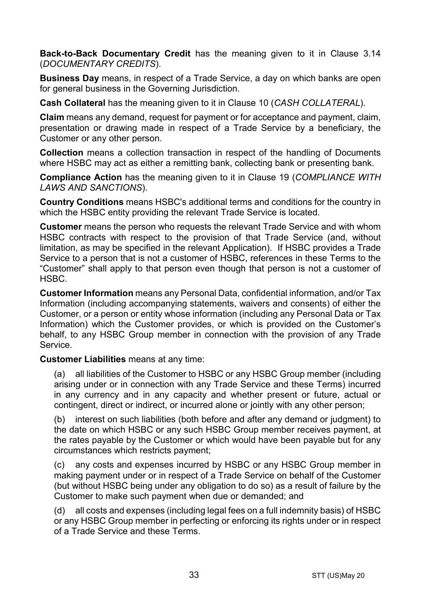**Back-to-Back Documentary Credit** has the meaning given to it in Clause [3.14](#page-5-0) (*[DOCUMENTARY CREDITS](#page-3-0)*).

**Business Day** means, in respect of a Trade Service, a day on which banks are open for general business in the Governing Jurisdiction.

**Cash Collateral** has the meaning given to it in Clause [10](#page-14-1) (*[CASH COLLATERAL](#page-14-1)*).

**Claim** means any demand, request for payment or for acceptance and payment, claim, presentation or drawing made in respect of a Trade Service by a beneficiary, the Customer or any other person.

**Collection** means a collection transaction in respect of the handling of Documents where HSBC may act as either a remitting bank, collecting bank or presenting bank.

**Compliance Action** has the meaning given to it in Clause [19](#page-22-0) (*[COMPLIANCE WITH](#page-22-0)  [LAWS AND SANCTIONS](#page-22-0)*).

**Country Conditions** means HSBC's additional terms and conditions for the country in which the HSBC entity providing the relevant Trade Service is located.

**Customer** means the person who requests the relevant Trade Service and with whom HSBC contracts with respect to the provision of that Trade Service (and, without limitation, as may be specified in the relevant Application). If HSBC provides a Trade Service to a person that is not a customer of HSBC, references in these Terms to the "Customer" shall apply to that person even though that person is not a customer of HSBC.

**Customer Information** means any Personal Data, confidential information, and/or Tax Information (including accompanying statements, waivers and consents) of either the Customer, or a person or entity whose information (including any Personal Data or Tax Information) which the Customer provides, or which is provided on the Customer's behalf, to any HSBC Group member in connection with the provision of any Trade Service.

**Customer Liabilities** means at any time:

(a) all liabilities of the Customer to HSBC or any HSBC Group member (including arising under or in connection with any Trade Service and these Terms) incurred in any currency and in any capacity and whether present or future, actual or contingent, direct or indirect, or incurred alone or jointly with any other person;

(b) interest on such liabilities (both before and after any demand or judgment) to the date on which HSBC or any such HSBC Group member receives payment, at the rates payable by the Customer or which would have been payable but for any circumstances which restricts payment;

(c) any costs and expenses incurred by HSBC or any HSBC Group member in making payment under or in respect of a Trade Service on behalf of the Customer (but without HSBC being under any obligation to do so) as a result of failure by the Customer to make such payment when due or demanded; and

(d) all costs and expenses (including legal fees on a full indemnity basis) of HSBC or any HSBC Group member in perfecting or enforcing its rights under or in respect of a Trade Service and these Terms.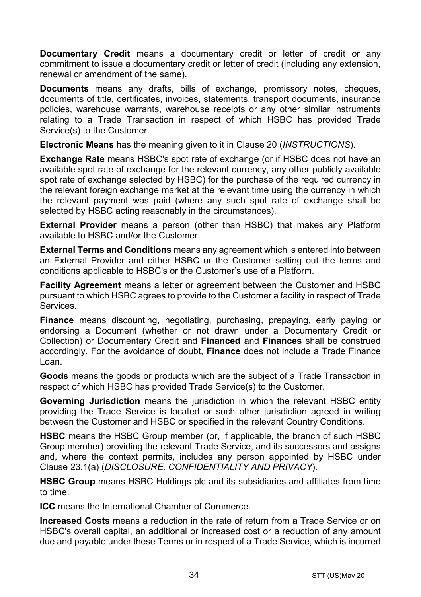**Documentary Credit** means a documentary credit or letter of credit or any commitment to issue a documentary credit or letter of credit (including any extension. renewal or amendment of the same).

**Documents** means any drafts, bills of exchange, promissory notes, cheques, documents of title, certificates, invoices, statements, transport documents, insurance policies, warehouse warrants, warehouse receipts or any other similar instruments relating to a Trade Transaction in respect of which HSBC has provided Trade Service(s) to the Customer.

**Electronic Means** has the meaning given to it in Clause [20](#page-24-0) (*[INSTRUCTIONS](#page-24-0)*).

**Exchange Rate** means HSBC's spot rate of exchange (or if HSBC does not have an available spot rate of exchange for the relevant currency, any other publicly available spot rate of exchange selected by HSBC) for the purchase of the required currency in the relevant foreign exchange market at the relevant time using the currency in which the relevant payment was paid (where any such spot rate of exchange shall be selected by HSBC acting reasonably in the circumstances).

**External Provider** means a person (other than HSBC) that makes any Platform available to HSBC and/or the Customer.

**External Terms and Conditions** means any agreement which is entered into between an External Provider and either HSBC or the Customer setting out the terms and conditions applicable to HSBC's or the Customer's use of a Platform.

**Facility Agreement** means a letter or agreement between the Customer and HSBC pursuant to which HSBC agrees to provide to the Customer a facility in respect of Trade Services.

**Finance** means discounting, negotiating, purchasing, prepaying, early paying or endorsing a Document (whether or not drawn under a Documentary Credit or Collection) or Documentary Credit and **Financed** and **Finances** shall be construed accordingly. For the avoidance of doubt, **Finance** does not include a Trade Finance Loan.

**Goods** means the goods or products which are the subject of a Trade Transaction in respect of which HSBC has provided Trade Service(s) to the Customer.

**Governing Jurisdiction** means the jurisdiction in which the relevant HSBC entity providing the Trade Service is located or such other jurisdiction agreed in writing between the Customer and HSBC or specified in the relevant Country Conditions.

**HSBC** means the HSBC Group member (or, if applicable, the branch of such HSBC Group member) providing the relevant Trade Service, and its successors and assigns and, where the context permits, includes any person appointed by HSBC under Clause [23.1\(a\)](#page-29-0) (*[DISCLOSURE, CONFIDENTIALITY AND PRIVACY](#page-28-0)*).

**HSBC Group** means HSBC Holdings plc and its subsidiaries and affiliates from time to time.

**ICC** means the International Chamber of Commerce.

**Increased Costs** means a reduction in the rate of return from a Trade Service or on HSBC's overall capital, an additional or increased cost or a reduction of any amount due and payable under these Terms or in respect of a Trade Service, which is incurred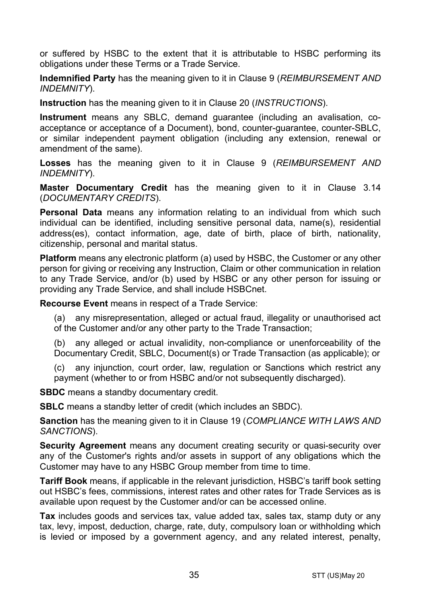or suffered by HSBC to the extent that it is attributable to HSBC performing its obligations under these Terms or a Trade Service.

**Indemnified Party** has the meaning given to it in Claus[e 9](#page-13-0) (*[REIMBURSEMENT AND](#page-13-0)  [INDEMNITY](#page-13-0)*).

**Instruction** has the meaning given to it in Clause [20](#page-24-0) (*[INSTRUCTIONS](#page-24-0)*).

**Instrument** means any SBLC, demand guarantee (including an avalisation, coacceptance or acceptance of a Document), bond, counter-guarantee, counter-SBLC, or similar independent payment obligation (including any extension, renewal or amendment of the same).

**Losses** has the meaning given to it in Clause [9](#page-13-0) (*[REIMBURSEMENT AND](#page-13-0)  [INDEMNITY](#page-13-0)*).

**Master Documentary Credit** has the meaning given to it in Clause [3.14](#page-5-0) (*[DOCUMENTARY CREDITS](#page-3-0)*).

**Personal Data** means any information relating to an individual from which such individual can be identified, including sensitive personal data, name(s), residential address(es), contact information, age, date of birth, place of birth, nationality, citizenship, personal and marital status.

**Platform** means any electronic platform (a) used by HSBC, the Customer or any other person for giving or receiving any Instruction, Claim or other communication in relation to any Trade Service, and/or (b) used by HSBC or any other person for issuing or providing any Trade Service, and shall include HSBCnet.

**Recourse Event** means in respect of a Trade Service:

(a) any misrepresentation, alleged or actual fraud, illegality or unauthorised act of the Customer and/or any other party to the Trade Transaction;

(b) any alleged or actual invalidity, non-compliance or unenforceability of the Documentary Credit, SBLC, Document(s) or Trade Transaction (as applicable); or

(c) any injunction, court order, law, regulation or Sanctions which restrict any payment (whether to or from HSBC and/or not subsequently discharged).

**SBDC** means a standby documentary credit.

**SBLC** means a standby letter of credit (which includes an SBDC).

**Sanction** has the meaning given to it in Clause [19](#page-22-0) (*[COMPLIANCE WITH LAWS AND](#page-22-0)  [SANCTIONS](#page-22-0)*).

**Security Agreement** means any document creating security or quasi-security over any of the Customer's rights and/or assets in support of any obligations which the Customer may have to any HSBC Group member from time to time.

**Tariff Book** means, if applicable in the relevant jurisdiction, HSBC's tariff book setting out HSBC's fees, commissions, interest rates and other rates for Trade Services as is available upon request by the Customer and/or can be accessed online.

**Tax** includes goods and services tax, value added tax, sales tax, stamp duty or any tax, levy, impost, deduction, charge, rate, duty, compulsory loan or withholding which is levied or imposed by a government agency, and any related interest, penalty,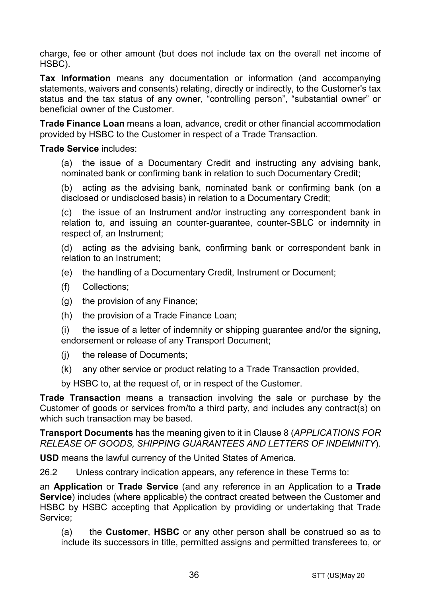charge, fee or other amount (but does not include tax on the overall net income of HSBC).

**Tax Information** means any documentation or information (and accompanying statements, waivers and consents) relating, directly or indirectly, to the Customer's tax status and the tax status of any owner, "controlling person", "substantial owner" or beneficial owner of the Customer.

**Trade Finance Loan** means a loan, advance, credit or other financial accommodation provided by HSBC to the Customer in respect of a Trade Transaction.

#### **Trade Service** includes:

(a) the issue of a Documentary Credit and instructing any advising bank, nominated bank or confirming bank in relation to such Documentary Credit;

(b) acting as the advising bank, nominated bank or confirming bank (on a disclosed or undisclosed basis) in relation to a Documentary Credit;

(c) the issue of an Instrument and/or instructing any correspondent bank in relation to, and issuing an counter-guarantee, counter-SBLC or indemnity in respect of, an Instrument;

(d) acting as the advising bank, confirming bank or correspondent bank in relation to an Instrument;

- (e) the handling of a Documentary Credit, Instrument or Document;
- (f) Collections;
- (g) the provision of any Finance;
- (h) the provision of a Trade Finance Loan;

(i) the issue of a letter of indemnity or shipping guarantee and/or the signing, endorsement or release of any Transport Document;

- (j) the release of Documents;
- (k) any other service or product relating to a Trade Transaction provided,

by HSBC to, at the request of, or in respect of the Customer.

**Trade Transaction** means a transaction involving the sale or purchase by the Customer of goods or services from/to a third party, and includes any contract(s) on which such transaction may be based.

**Transport Documents** has the meaning given to it in Clause [8](#page-12-0) (*[APPLICATIONS FOR](#page-12-0)  [RELEASE OF GOODS, SHIPPING GUARANTEES AND](#page-12-0) LETTERS OF INDEMNITY*).

**USD** means the lawful currency of the United States of America.

26.2 Unless contrary indication appears, any reference in these Terms to:

an **Application** or **Trade Service** (and any reference in an Application to a **Trade Service**) includes (where applicable) the contract created between the Customer and HSBC by HSBC accepting that Application by providing or undertaking that Trade Service;

(a) the **Customer**, **HSBC** or any other person shall be construed so as to include its successors in title, permitted assigns and permitted transferees to, or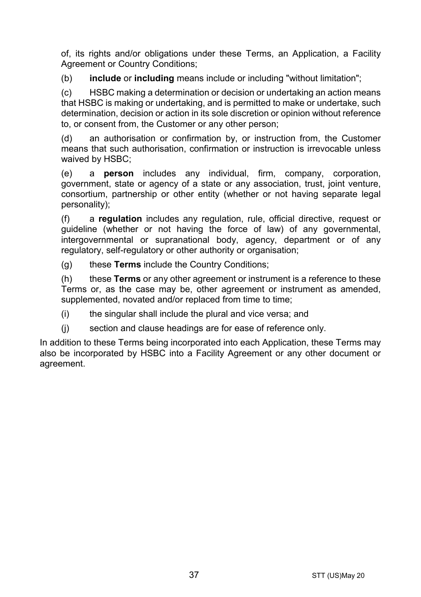of, its rights and/or obligations under these Terms, an Application, a Facility Agreement or Country Conditions:

(b) **include** or **including** means include or including "without limitation";

(c) HSBC making a determination or decision or undertaking an action means that HSBC is making or undertaking, and is permitted to make or undertake, such determination, decision or action in its sole discretion or opinion without reference to, or consent from, the Customer or any other person;

(d) an authorisation or confirmation by, or instruction from, the Customer means that such authorisation, confirmation or instruction is irrevocable unless waived by HSBC;

(e) a **person** includes any individual, firm, company, corporation, government, state or agency of a state or any association, trust, joint venture, consortium, partnership or other entity (whether or not having separate legal personality);

(f) a **regulation** includes any regulation, rule, official directive, request or guideline (whether or not having the force of law) of any governmental, intergovernmental or supranational body, agency, department or of any regulatory, self-regulatory or other authority or organisation;

(g) these **Terms** include the Country Conditions;

(h) these **Terms** or any other agreement or instrument is a reference to these Terms or, as the case may be, other agreement or instrument as amended, supplemented, novated and/or replaced from time to time;

(i) the singular shall include the plural and vice versa; and

(j) section and clause headings are for ease of reference only.

In addition to these Terms being incorporated into each Application, these Terms may also be incorporated by HSBC into a Facility Agreement or any other document or agreement.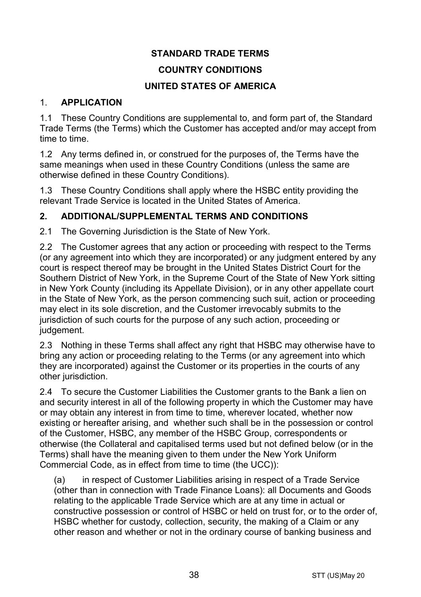# **STANDARD TRADE TERMS**

# **COUNTRY CONDITIONS**

# **UNITED STATES OF AMERICA**

## 1. **APPLICATION**

1.1 These Country Conditions are supplemental to, and form part of, the Standard Trade Terms (the Terms) which the Customer has accepted and/or may accept from time to time.

1.2 Any terms defined in, or construed for the purposes of, the Terms have the same meanings when used in these Country Conditions (unless the same are otherwise defined in these Country Conditions).

1.3 These Country Conditions shall apply where the HSBC entity providing the relevant Trade Service is located in the United States of America.

# **2. ADDITIONAL/SUPPLEMENTAL TERMS AND CONDITIONS**

2.1 The Governing Jurisdiction is the State of New York.

2.2 The Customer agrees that any action or proceeding with respect to the Terms (or any agreement into which they are incorporated) or any judgment entered by any court is respect thereof may be brought in the United States District Court for the Southern District of New York, in the Supreme Court of the State of New York sitting in New York County (including its Appellate Division), or in any other appellate court in the State of New York, as the person commencing such suit, action or proceeding may elect in its sole discretion, and the Customer irrevocably submits to the jurisdiction of such courts for the purpose of any such action, proceeding or judgement.

2.3 Nothing in these Terms shall affect any right that HSBC may otherwise have to bring any action or proceeding relating to the Terms (or any agreement into which they are incorporated) against the Customer or its properties in the courts of any other jurisdiction.

2.4 To secure the Customer Liabilities the Customer grants to the Bank a lien on and security interest in all of the following property in which the Customer may have or may obtain any interest in from time to time, wherever located, whether now existing or hereafter arising, and whether such shall be in the possession or control of the Customer, HSBC, any member of the HSBC Group, correspondents or otherwise (the Collateral and capitalised terms used but not defined below (or in the Terms) shall have the meaning given to them under the New York Uniform Commercial Code, as in effect from time to time (the UCC)):

(a) in respect of Customer Liabilities arising in respect of a Trade Service (other than in connection with Trade Finance Loans): all Documents and Goods relating to the applicable Trade Service which are at any time in actual or constructive possession or control of HSBC or held on trust for, or to the order of, HSBC whether for custody, collection, security, the making of a Claim or any other reason and whether or not in the ordinary course of banking business and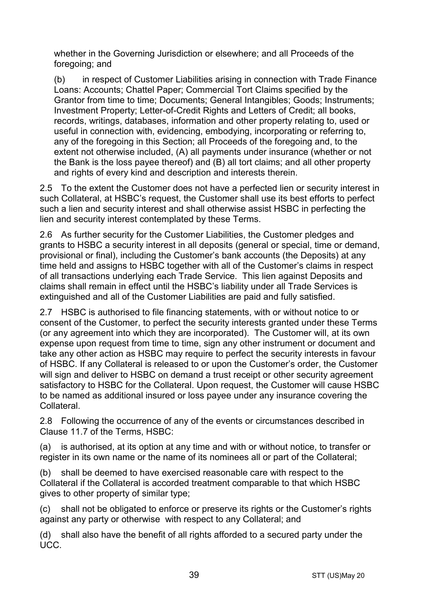whether in the Governing Jurisdiction or elsewhere; and all Proceeds of the foregoing; and

(b) in respect of Customer Liabilities arising in connection with Trade Finance Loans: Accounts; Chattel Paper; Commercial Tort Claims specified by the Grantor from time to time; Documents; General Intangibles; Goods; Instruments; Investment Property; Letter-of-Credit Rights and Letters of Credit; all books, records, writings, databases, information and other property relating to, used or useful in connection with, evidencing, embodying, incorporating or referring to, any of the foregoing in this Section; all Proceeds of the foregoing and, to the extent not otherwise included, (A) all payments under insurance (whether or not the Bank is the loss payee thereof) and (B) all tort claims; and all other property and rights of every kind and description and interests therein.

2.5 To the extent the Customer does not have a perfected lien or security interest in such Collateral, at HSBC's request, the Customer shall use its best efforts to perfect such a lien and security interest and shall otherwise assist HSBC in perfecting the lien and security interest contemplated by these Terms.

2.6 As further security for the Customer Liabilities, the Customer pledges and grants to HSBC a security interest in all deposits (general or special, time or demand, provisional or final), including the Customer's bank accounts (the Deposits) at any time held and assigns to HSBC together with all of the Customer's claims in respect of all transactions underlying each Trade Service. This lien against Deposits and claims shall remain in effect until the HSBC's liability under all Trade Services is extinguished and all of the Customer Liabilities are paid and fully satisfied.

2.7 HSBC is authorised to file financing statements, with or without notice to or consent of the Customer, to perfect the security interests granted under these Terms (or any agreement into which they are incorporated). The Customer will, at its own expense upon request from time to time, sign any other instrument or document and take any other action as HSBC may require to perfect the security interests in favour of HSBC. If any Collateral is released to or upon the Customer's order, the Customer will sign and deliver to HSBC on demand a trust receipt or other security agreement satisfactory to HSBC for the Collateral. Upon request, the Customer will cause HSBC to be named as additional insured or loss payee under any insurance covering the Collateral.

2.8 Following the occurrence of any of the events or circumstances described in Clause 11.7 of the Terms, HSBC:

(a) is authorised, at its option at any time and with or without notice, to transfer or register in its own name or the name of its nominees all or part of the Collateral;

(b) shall be deemed to have exercised reasonable care with respect to the Collateral if the Collateral is accorded treatment comparable to that which HSBC gives to other property of similar type;

(c) shall not be obligated to enforce or preserve its rights or the Customer's rights against any party or otherwise with respect to any Collateral; and

(d) shall also have the benefit of all rights afforded to a secured party under the UCC.